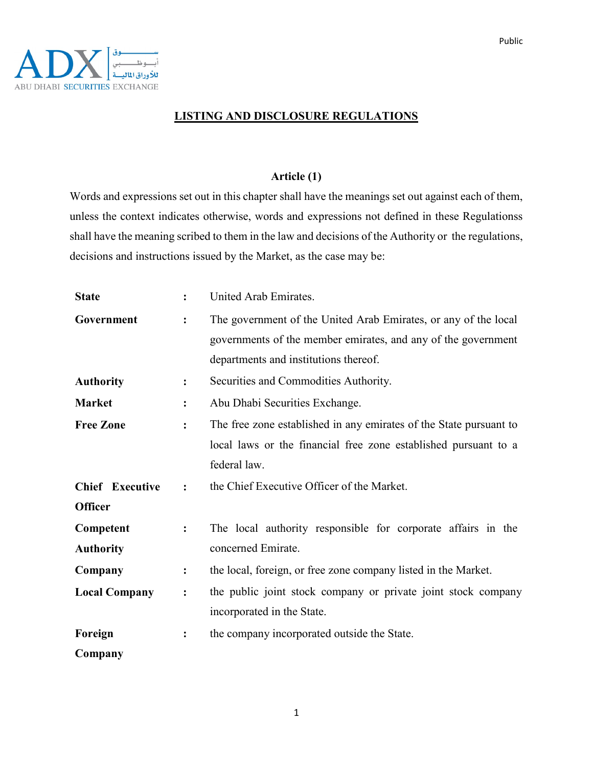

### **LISTING AND DISCLOSURE REGULATIONS**

#### **Article (1)**

Words and expressions set out in this chapter shall have the meanings set out against each of them, unless the context indicates otherwise, words and expressions not defined in these Regulationss shall have the meaning scribed to them in the law and decisions of the Authority or the regulations, decisions and instructions issued by the Market, as the case may be:

| <b>State</b>                             | $\ddot{\cdot}$ | United Arab Emirates.                                                                                                                                                     |
|------------------------------------------|----------------|---------------------------------------------------------------------------------------------------------------------------------------------------------------------------|
| Government                               | :              | The government of the United Arab Emirates, or any of the local<br>governments of the member emirates, and any of the government<br>departments and institutions thereof. |
| <b>Authority</b>                         | :              | Securities and Commodities Authority.                                                                                                                                     |
| <b>Market</b>                            | $\ddot{\cdot}$ | Abu Dhabi Securities Exchange.                                                                                                                                            |
| <b>Free Zone</b>                         | :              | The free zone established in any emirates of the State pursuant to<br>local laws or the financial free zone established pursuant to a<br>federal law.                     |
| <b>Chief</b> Executive<br><b>Officer</b> | $\ddot{\cdot}$ | the Chief Executive Officer of the Market.                                                                                                                                |
| Competent<br><b>Authority</b>            | $\ddot{\cdot}$ | The local authority responsible for corporate affairs in the<br>concerned Emirate.                                                                                        |
| Company                                  | :              | the local, foreign, or free zone company listed in the Market.                                                                                                            |
| <b>Local Company</b>                     | :              | the public joint stock company or private joint stock company<br>incorporated in the State.                                                                               |
| Foreign                                  | $\ddot{\cdot}$ | the company incorporated outside the State.                                                                                                                               |
| Company                                  |                |                                                                                                                                                                           |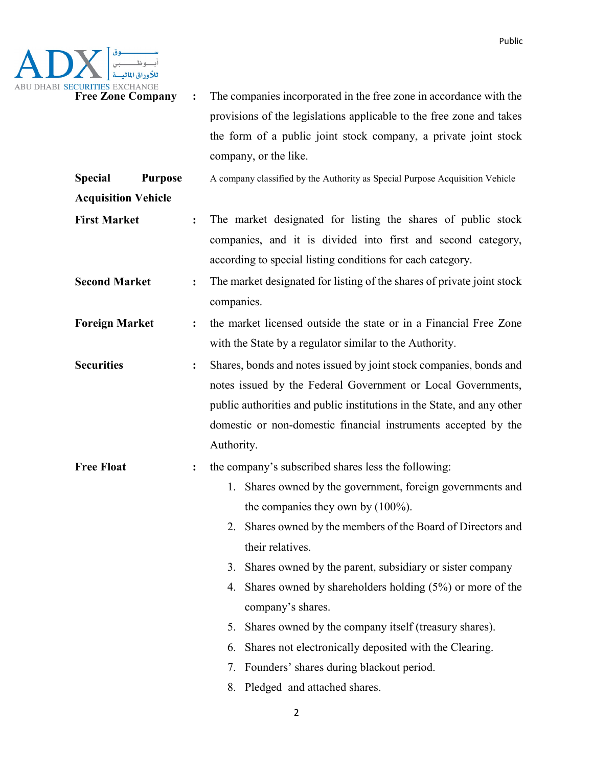

**Free Zone Company** : The companies incorporated in the free zone in accordance with the provisions of the legislations applicable to the free zone and takes the form of a public joint stock company, a private joint stock company, or the like.

**Special Purpose**  A company classified by the Authority as Special Purpose Acquisition Vehicle

**Acquisition Vehicle**

- **First Market :** The market designated for listing the shares of public stock companies, and it is divided into first and second category, according to special listing conditions for each category.
- **Second Market :** The market designated for listing of the shares of private joint stock companies.
- **Foreign Market** : the market licensed outside the state or in a Financial Free Zone with the State by a regulator similar to the Authority.
- **Securities :** Shares, bonds and notes issued by joint stock companies, bonds and notes issued by the Federal Government or Local Governments, public authorities and public institutions in the State, and any other domestic or non-domestic financial instruments accepted by the Authority.

# **Free Float** : the company's subscribed shares less the following:

- 1. Shares owned by the government, foreign governments and the companies they own by (100%).
- 2. Shares owned by the members of the Board of Directors and their relatives.
- 3. Shares owned by the parent, subsidiary or sister company
- 4. Shares owned by shareholders holding (5%) or more of the company's shares.
- 5. Shares owned by the company itself (treasury shares).
- 6. Shares not electronically deposited with the Clearing.
- 7. Founders' shares during blackout period.
- 8. Pledged and attached shares.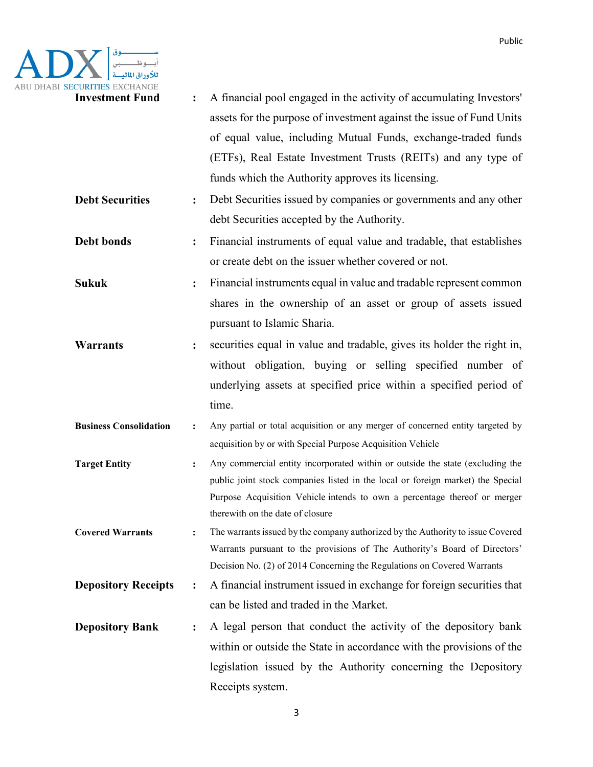

| <b>Investment Fund</b>        | $\ddot{\cdot}$ | A financial pool engaged in the activity of accumulating Investors'                                                 |
|-------------------------------|----------------|---------------------------------------------------------------------------------------------------------------------|
|                               |                | assets for the purpose of investment against the issue of Fund Units                                                |
|                               |                | of equal value, including Mutual Funds, exchange-traded funds                                                       |
|                               |                | (ETFs), Real Estate Investment Trusts (REITs) and any type of                                                       |
|                               |                | funds which the Authority approves its licensing.                                                                   |
| <b>Debt Securities</b>        | $\ddot{\cdot}$ | Debt Securities issued by companies or governments and any other                                                    |
|                               |                | debt Securities accepted by the Authority.                                                                          |
| Debt bonds                    | :              | Financial instruments of equal value and tradable, that establishes                                                 |
|                               |                | or create debt on the issuer whether covered or not.                                                                |
| <b>Sukuk</b>                  | :              | Financial instruments equal in value and tradable represent common                                                  |
|                               |                | shares in the ownership of an asset or group of assets issued                                                       |
|                               |                | pursuant to Islamic Sharia.                                                                                         |
| <b>Warrants</b>               | $\ddot{\cdot}$ | securities equal in value and tradable, gives its holder the right in,                                              |
|                               |                | without obligation, buying or selling specified number of                                                           |
|                               |                | underlying assets at specified price within a specified period of                                                   |
|                               |                | time.                                                                                                               |
|                               |                |                                                                                                                     |
| <b>Business Consolidation</b> | $\ddot{\cdot}$ | Any partial or total acquisition or any merger of concerned entity targeted by                                      |
|                               |                | acquisition by or with Special Purpose Acquisition Vehicle                                                          |
| <b>Target Entity</b>          | $\ddot{\cdot}$ | Any commercial entity incorporated within or outside the state (excluding the                                       |
|                               |                | public joint stock companies listed in the local or foreign market) the Special                                     |
|                               |                | Purpose Acquisition Vehicle intends to own a percentage thereof or merger                                           |
| <b>Covered Warrants</b>       | $\ddot{\cdot}$ | therewith on the date of closure<br>The warrants issued by the company authorized by the Authority to issue Covered |
|                               |                | Warrants pursuant to the provisions of The Authority's Board of Directors'                                          |
|                               |                | Decision No. (2) of 2014 Concerning the Regulations on Covered Warrants                                             |
| <b>Depository Receipts</b>    | :              | A financial instrument issued in exchange for foreign securities that                                               |
|                               |                | can be listed and traded in the Market.                                                                             |
| <b>Depository Bank</b>        | $\ddot{\cdot}$ | A legal person that conduct the activity of the depository bank                                                     |
|                               |                | within or outside the State in accordance with the provisions of the                                                |
|                               |                | legislation issued by the Authority concerning the Depository                                                       |

3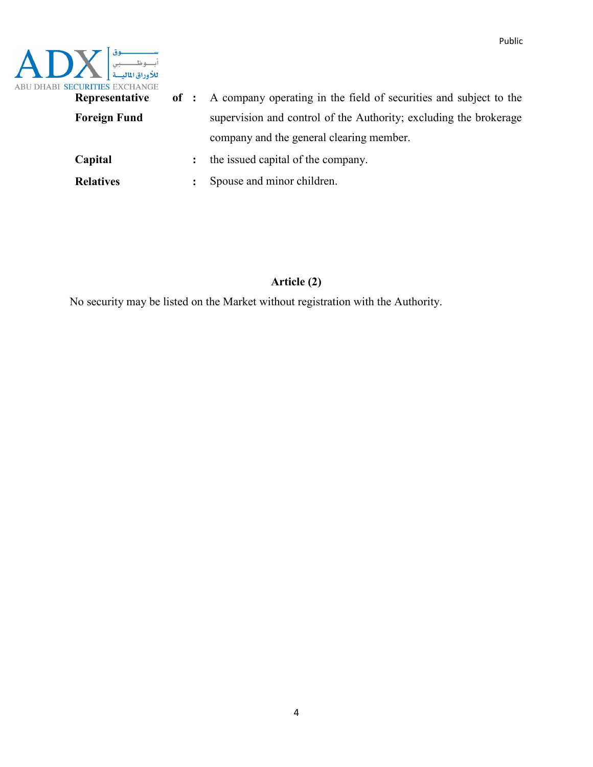

| Representative      |                | of : A company operating in the field of securities and subject to the |
|---------------------|----------------|------------------------------------------------------------------------|
| <b>Foreign Fund</b> |                | supervision and control of the Authority; excluding the brokerage      |
|                     |                | company and the general clearing member.                               |
| Capital             | $\ddot{\cdot}$ | the issued capital of the company.                                     |
| <b>Relatives</b>    |                | Spouse and minor children.                                             |

### **Article (2)**

No security may be listed on the Market without registration with the Authority.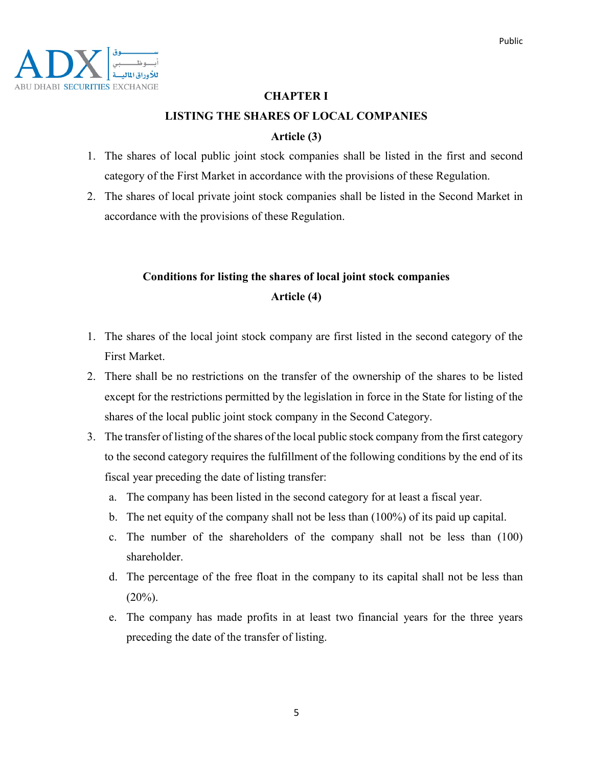

### **CHAPTER I**

### **LISTING THE SHARES OF LOCAL COMPANIES**

### **Article (3)**

- 1. The shares of local public joint stock companies shall be listed in the first and second category of the First Market in accordance with the provisions of these Regulation.
- 2. The shares of local private joint stock companies shall be listed in the Second Market in accordance with the provisions of these Regulation.

# **Conditions for listing the shares of local joint stock companies Article (4)**

- 1. The shares of the local joint stock company are first listed in the second category of the First Market.
- 2. There shall be no restrictions on the transfer of the ownership of the shares to be listed except for the restrictions permitted by the legislation in force in the State for listing of the shares of the local public joint stock company in the Second Category.
- 3. The transfer of listing of the shares of the local public stock company from the first category to the second category requires the fulfillment of the following conditions by the end of its fiscal year preceding the date of listing transfer:
	- a. The company has been listed in the second category for at least a fiscal year.
	- b. The net equity of the company shall not be less than (100%) of its paid up capital.
	- c. The number of the shareholders of the company shall not be less than (100) shareholder.
	- d. The percentage of the free float in the company to its capital shall not be less than  $(20\%)$ .
	- e. The company has made profits in at least two financial years for the three years preceding the date of the transfer of listing.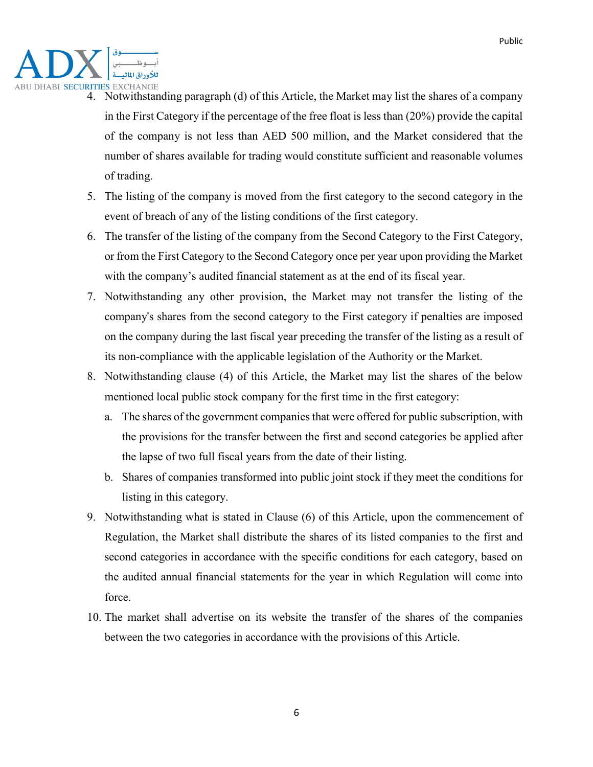

- 4. Notwithstanding paragraph (d) of this Article, the Market may list the shares of a company in the First Category if the percentage of the free float is less than (20%) provide the capital of the company is not less than AED 500 million, and the Market considered that the number of shares available for trading would constitute sufficient and reasonable volumes of trading.
- 5. The listing of the company is moved from the first category to the second category in the event of breach of any of the listing conditions of the first category.
- 6. The transfer of the listing of the company from the Second Category to the First Category, or from the First Category to the Second Category once per year upon providing the Market with the company's audited financial statement as at the end of its fiscal year.
- 7. Notwithstanding any other provision, the Market may not transfer the listing of the company's shares from the second category to the First category if penalties are imposed on the company during the last fiscal year preceding the transfer of the listing as a result of its non-compliance with the applicable legislation of the Authority or the Market.
- 8. Notwithstanding clause (4) of this Article, the Market may list the shares of the below mentioned local public stock company for the first time in the first category:
	- a. The shares of the government companies that were offered for public subscription, with the provisions for the transfer between the first and second categories be applied after the lapse of two full fiscal years from the date of their listing.
	- b. Shares of companies transformed into public joint stock if they meet the conditions for listing in this category.
- 9. Notwithstanding what is stated in Clause (6) of this Article, upon the commencement of Regulation, the Market shall distribute the shares of its listed companies to the first and second categories in accordance with the specific conditions for each category, based on the audited annual financial statements for the year in which Regulation will come into force.
- 10. The market shall advertise on its website the transfer of the shares of the companies between the two categories in accordance with the provisions of this Article.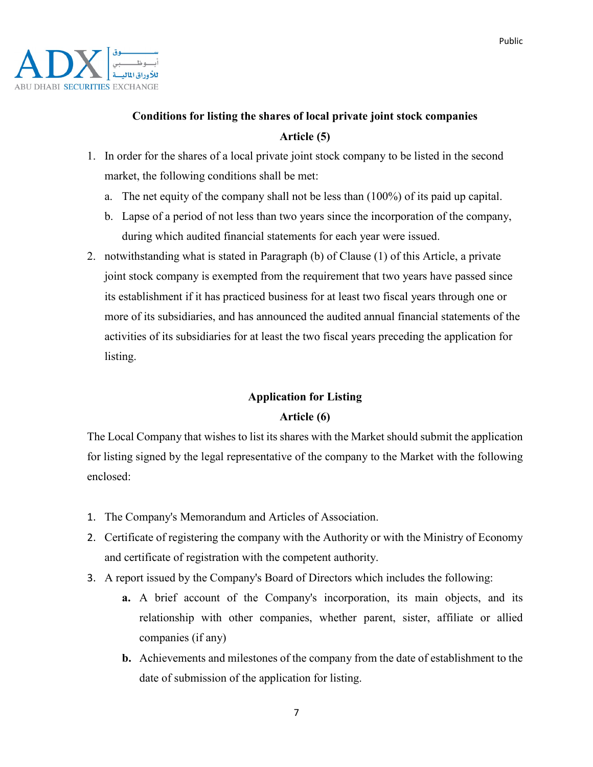

# **Conditions for listing the shares of local private joint stock companies Article (5)**

- 1. In order for the shares of a local private joint stock company to be listed in the second market, the following conditions shall be met:
	- a. The net equity of the company shall not be less than (100%) of its paid up capital.
	- b. Lapse of a period of not less than two years since the incorporation of the company, during which audited financial statements for each year were issued.
- 2. notwithstanding what is stated in Paragraph (b) of Clause (1) of this Article, a private joint stock company is exempted from the requirement that two years have passed since its establishment if it has practiced business for at least two fiscal years through one or more of its subsidiaries, and has announced the audited annual financial statements of the activities of its subsidiaries for at least the two fiscal years preceding the application for listing.

# **Application for Listing Article (6)**

The Local Company that wishes to list its shares with the Market should submit the application for listing signed by the legal representative of the company to the Market with the following enclosed:

- 1. The Company's Memorandum and Articles of Association.
- 2. Certificate of registering the company with the Authority or with the Ministry of Economy and certificate of registration with the competent authority.
- 3. A report issued by the Company's Board of Directors which includes the following:
	- **a.** A brief account of the Company's incorporation, its main objects, and its relationship with other companies, whether parent, sister, affiliate or allied companies (if any)
	- **b.** Achievements and milestones of the company from the date of establishment to the date of submission of the application for listing.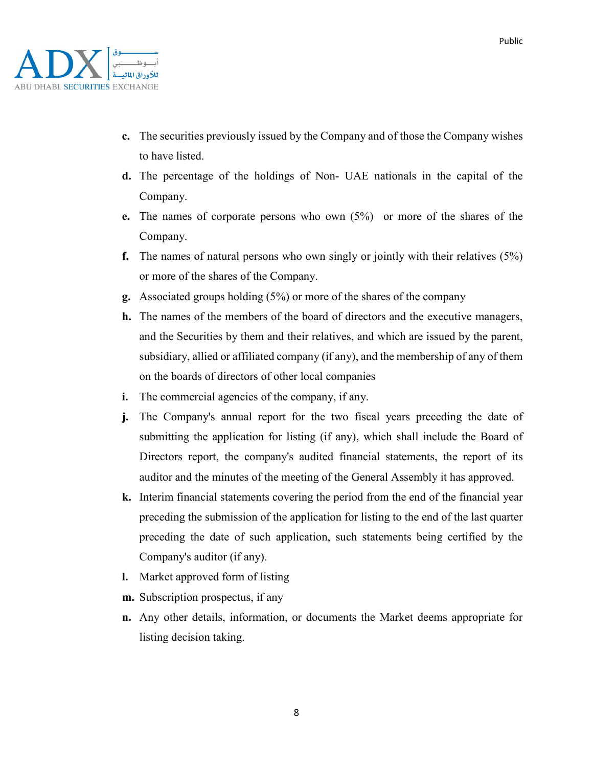- **c.** The securities previously issued by the Company and of those the Company wishes to have listed.
- **d.** The percentage of the holdings of Non- UAE nationals in the capital of the Company.
- **e.** The names of corporate persons who own (5%) or more of the shares of the Company.
- **f.** The names of natural persons who own singly or jointly with their relatives (5%) or more of the shares of the Company.
- **g.** Associated groups holding (5%) or more of the shares of the company
- **h.** The names of the members of the board of directors and the executive managers, and the Securities by them and their relatives, and which are issued by the parent, subsidiary, allied or affiliated company (if any), and the membership of any of them on the boards of directors of other local companies
- **i.** The commercial agencies of the company, if any.
- **j.** The Company's annual report for the two fiscal years preceding the date of submitting the application for listing (if any), which shall include the Board of Directors report, the company's audited financial statements, the report of its auditor and the minutes of the meeting of the General Assembly it has approved.
- **k.** Interim financial statements covering the period from the end of the financial year preceding the submission of the application for listing to the end of the last quarter preceding the date of such application, such statements being certified by the Company's auditor (if any).
- **l.** Market approved form of listing
- **m.** Subscription prospectus, if any
- **n.** Any other details, information, or documents the Market deems appropriate for listing decision taking.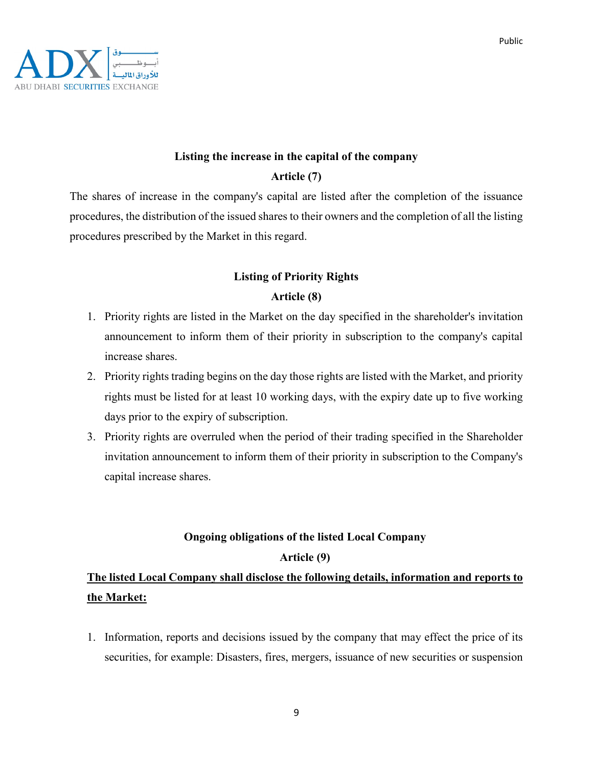

# **Listing the increase in the capital of the company**

### **Article (7)**

The shares of increase in the company's capital are listed after the completion of the issuance procedures, the distribution of the issued shares to their owners and the completion of all the listing procedures prescribed by the Market in this regard.

### **Listing of Priority Rights**

### **Article (8)**

- 1. Priority rights are listed in the Market on the day specified in the shareholder's invitation announcement to inform them of their priority in subscription to the company's capital increase shares.
- 2. Priority rights trading begins on the day those rights are listed with the Market, and priority rights must be listed for at least 10 working days, with the expiry date up to five working days prior to the expiry of subscription.
- 3. Priority rights are overruled when the period of their trading specified in the Shareholder invitation announcement to inform them of their priority in subscription to the Company's capital increase shares.

# **Ongoing obligations of the listed Local Company**

### **Article (9)**

### **The listed Local Company shall disclose the following details, information and reports to the Market:**

1. Information, reports and decisions issued by the company that may effect the price of its securities, for example: Disasters, fires, mergers, issuance of new securities or suspension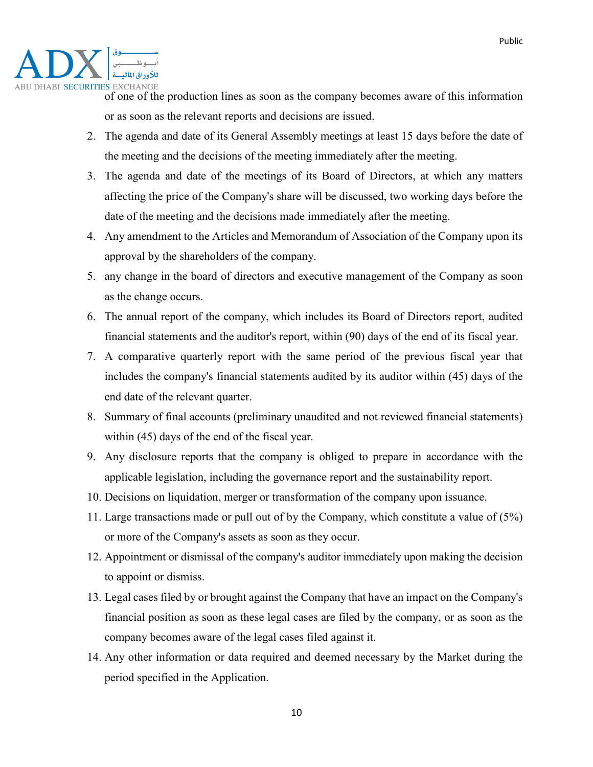

of one of the production lines as soon as the company becomes aware of this information or as soon as the relevant reports and decisions are issued.

- 2. The agenda and date of its General Assembly meetings at least 15 days before the date of the meeting and the decisions of the meeting immediately after the meeting.
- 3. The agenda and date of the meetings of its Board of Directors, at which any matters affecting the price of the Company's share will be discussed, two working days before the date of the meeting and the decisions made immediately after the meeting.
- 4. Any amendment to the Articles and Memorandum of Association of the Company upon its approval by the shareholders of the company.
- 5. any change in the board of directors and executive management of the Company as soon as the change occurs.
- 6. The annual report of the company, which includes its Board of Directors report, audited financial statements and the auditor's report, within (90) days of the end of its fiscal year.
- 7. A comparative quarterly report with the same period of the previous fiscal year that includes the company's financial statements audited by its auditor within (45) days of the end date of the relevant quarter.
- 8. Summary of final accounts (preliminary unaudited and not reviewed financial statements) within (45) days of the end of the fiscal year.
- 9. Any disclosure reports that the company is obliged to prepare in accordance with the applicable legislation, including the governance report and the sustainability report.
- 10. Decisions on liquidation, merger or transformation of the company upon issuance.
- 11. Large transactions made or pull out of by the Company, which constitute a value of (5%) or more of the Company's assets as soon as they occur.
- 12. Appointment or dismissal of the company's auditor immediately upon making the decision to appoint or dismiss.
- 13. Legal cases filed by or brought against the Company that have an impact on the Company's financial position as soon as these legal cases are filed by the company, or as soon as the company becomes aware of the legal cases filed against it.
- 14. Any other information or data required and deemed necessary by the Market during the period specified in the Application.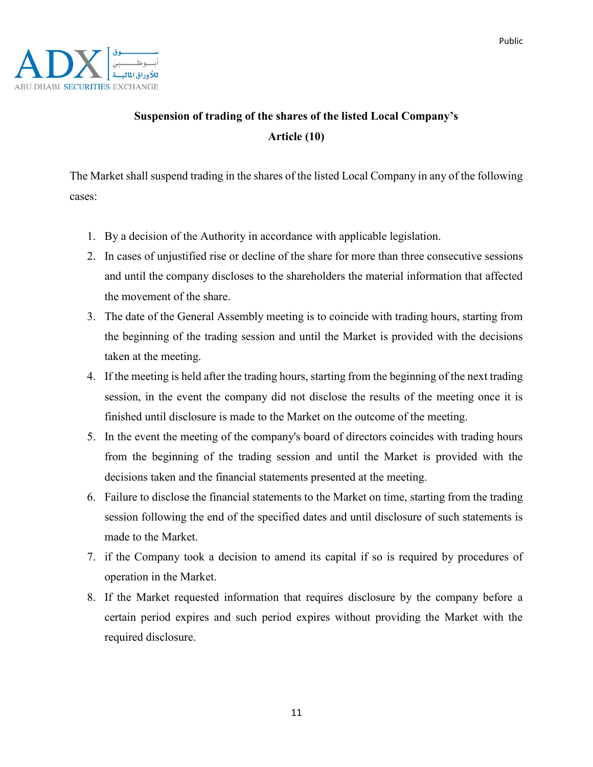

# **Suspension of trading of the shares of the listed Local Company's Article (10)**

The Market shall suspend trading in the shares of the listed Local Company in any of the following cases:

- 1. By a decision of the Authority in accordance with applicable legislation.
- 2. In cases of unjustified rise or decline of the share for more than three consecutive sessions and until the company discloses to the shareholders the material information that affected the movement of the share.
- 3. The date of the General Assembly meeting is to coincide with trading hours, starting from the beginning of the trading session and until the Market is provided with the decisions taken at the meeting.
- 4. If the meeting is held after the trading hours, starting from the beginning of the next trading session, in the event the company did not disclose the results of the meeting once it is finished until disclosure is made to the Market on the outcome of the meeting.
- 5. In the event the meeting of the company's board of directors coincides with trading hours from the beginning of the trading session and until the Market is provided with the decisions taken and the financial statements presented at the meeting.
- 6. Failure to disclose the financial statements to the Market on time, starting from the trading session following the end of the specified dates and until disclosure of such statements is made to the Market.
- 7. if the Company took a decision to amend its capital if so is required by procedures of operation in the Market.
- 8. If the Market requested information that requires disclosure by the company before a certain period expires and such period expires without providing the Market with the required disclosure.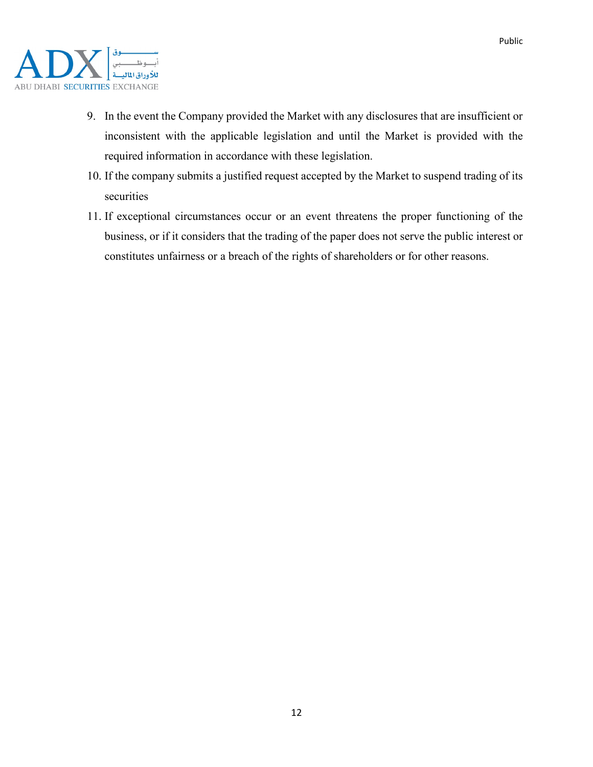

- 9. In the event the Company provided the Market with any disclosures that are insufficient or inconsistent with the applicable legislation and until the Market is provided with the required information in accordance with these legislation.
- 10. If the company submits a justified request accepted by the Market to suspend trading of its securities
- 11. If exceptional circumstances occur or an event threatens the proper functioning of the business, or if it considers that the trading of the paper does not serve the public interest or constitutes unfairness or a breach of the rights of shareholders or for other reasons.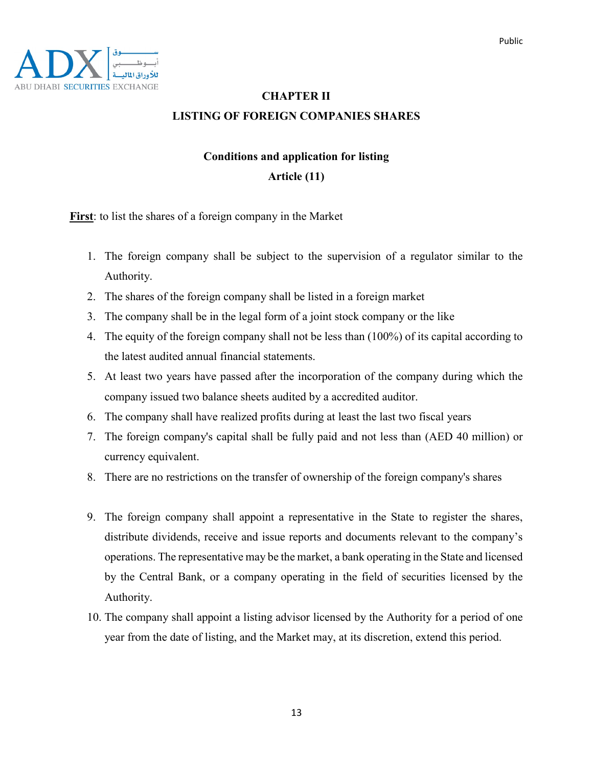Public

### **CHAPTER II LISTING OF FOREIGN COMPANIES SHARES**

### **Conditions and application for listing Article (11)**

**First**: to list the shares of a foreign company in the Market

- 1. The foreign company shall be subject to the supervision of a regulator similar to the Authority.
- 2. The shares of the foreign company shall be listed in a foreign market
- 3. The company shall be in the legal form of a joint stock company or the like
- 4. The equity of the foreign company shall not be less than (100%) of its capital according to the latest audited annual financial statements.
- 5. At least two years have passed after the incorporation of the company during which the company issued two balance sheets audited by a accredited auditor.
- 6. The company shall have realized profits during at least the last two fiscal years
- 7. The foreign company's capital shall be fully paid and not less than (AED 40 million) or currency equivalent.
- 8. There are no restrictions on the transfer of ownership of the foreign company's shares
- 9. The foreign company shall appoint a representative in the State to register the shares, distribute dividends, receive and issue reports and documents relevant to the company's operations. The representative may be the market, a bank operating in the State and licensed by the Central Bank, or a company operating in the field of securities licensed by the Authority.
- 10. The company shall appoint a listing advisor licensed by the Authority for a period of one year from the date of listing, and the Market may, at its discretion, extend this period.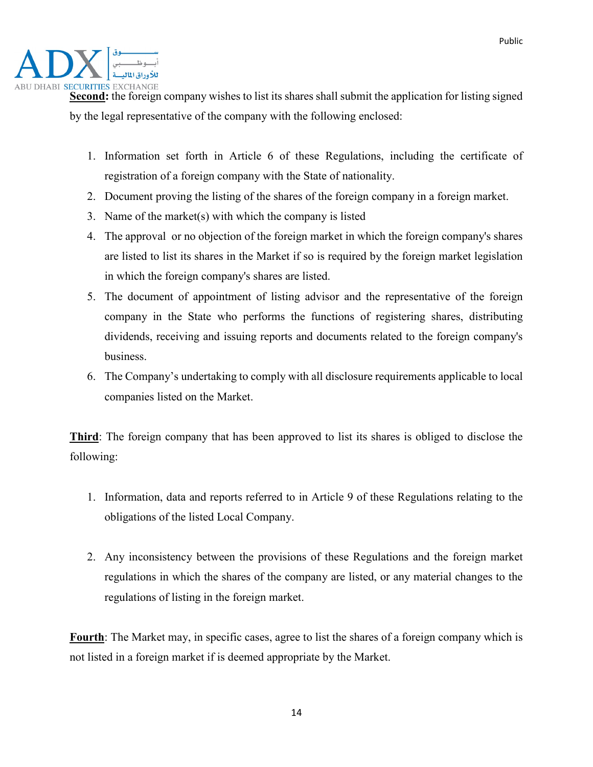

Second: the foreign company wishes to list its shares shall submit the application for listing signed by the legal representative of the company with the following enclosed:

- 1. Information set forth in Article 6 of these Regulations, including the certificate of registration of a foreign company with the State of nationality.
- 2. Document proving the listing of the shares of the foreign company in a foreign market.
- 3. Name of the market(s) with which the company is listed
- 4. The approval or no objection of the foreign market in which the foreign company's shares are listed to list its shares in the Market if so is required by the foreign market legislation in which the foreign company's shares are listed.
- 5. The document of appointment of listing advisor and the representative of the foreign company in the State who performs the functions of registering shares, distributing dividends, receiving and issuing reports and documents related to the foreign company's business.
- 6. The Company's undertaking to comply with all disclosure requirements applicable to local companies listed on the Market.

**Third**: The foreign company that has been approved to list its shares is obliged to disclose the following:

- 1. Information, data and reports referred to in Article 9 of these Regulations relating to the obligations of the listed Local Company.
- 2. Any inconsistency between the provisions of these Regulations and the foreign market regulations in which the shares of the company are listed, or any material changes to the regulations of listing in the foreign market.

**Fourth**: The Market may, in specific cases, agree to list the shares of a foreign company which is not listed in a foreign market if is deemed appropriate by the Market.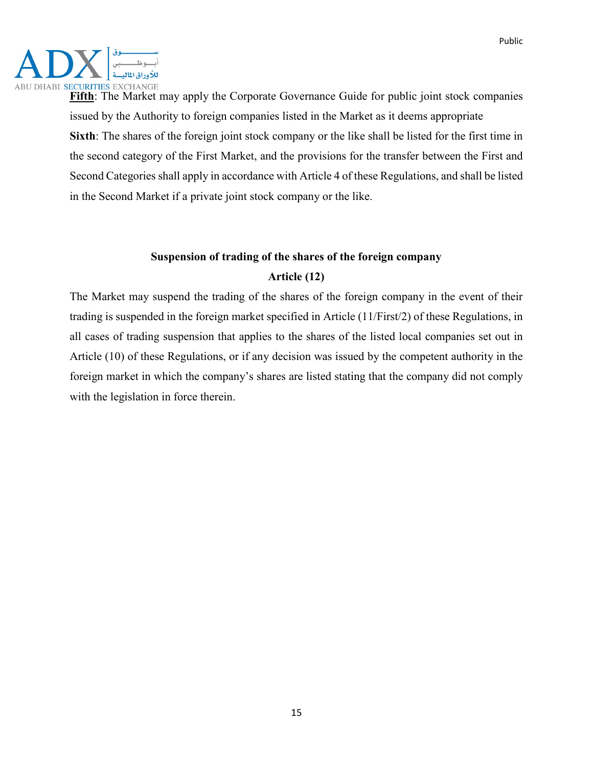Public



**Fifth**: The Market may apply the Corporate Governance Guide for public joint stock companies issued by the Authority to foreign companies listed in the Market as it deems appropriate **Sixth**: The shares of the foreign joint stock company or the like shall be listed for the first time in the second category of the First Market, and the provisions for the transfer between the First and Second Categories shall apply in accordance with Article 4 of these Regulations, and shall be listed in the Second Market if a private joint stock company or the like.

# **Suspension of trading of the shares of the foreign company Article (12)**

The Market may suspend the trading of the shares of the foreign company in the event of their trading is suspended in the foreign market specified in Article (11/First/2) of these Regulations, in all cases of trading suspension that applies to the shares of the listed local companies set out in Article (10) of these Regulations, or if any decision was issued by the competent authority in the foreign market in which the company's shares are listed stating that the company did not comply with the legislation in force therein.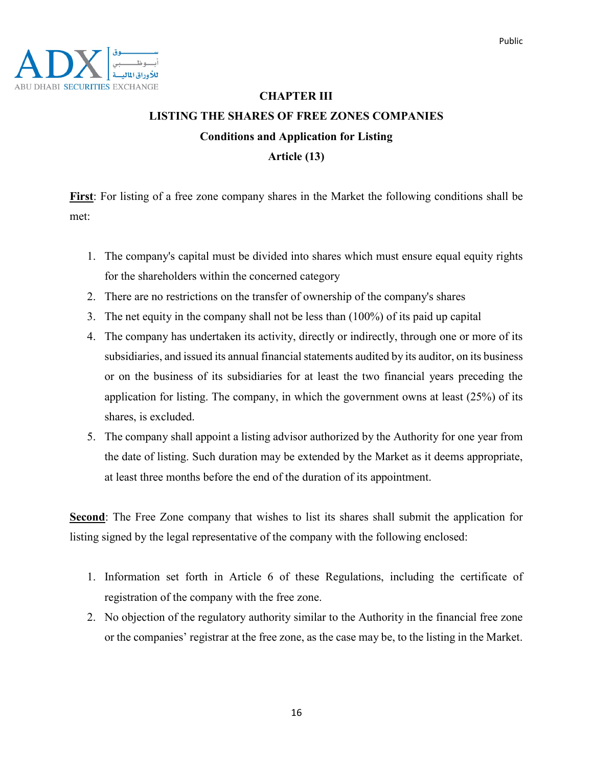

# **CHAPTER III LISTING THE SHARES OF FREE ZONES COMPANIES Conditions and Application for Listing Article (13)**

**First**: For listing of a free zone company shares in the Market the following conditions shall be met:

- 1. The company's capital must be divided into shares which must ensure equal equity rights for the shareholders within the concerned category
- 2. There are no restrictions on the transfer of ownership of the company's shares
- 3. The net equity in the company shall not be less than (100%) of its paid up capital
- 4. The company has undertaken its activity, directly or indirectly, through one or more of its subsidiaries, and issued its annual financial statements audited by its auditor, on its business or on the business of its subsidiaries for at least the two financial years preceding the application for listing. The company, in which the government owns at least (25%) of its shares, is excluded.
- 5. The company shall appoint a listing advisor authorized by the Authority for one year from the date of listing. Such duration may be extended by the Market as it deems appropriate, at least three months before the end of the duration of its appointment.

**Second**: The Free Zone company that wishes to list its shares shall submit the application for listing signed by the legal representative of the company with the following enclosed:

- 1. Information set forth in Article 6 of these Regulations, including the certificate of registration of the company with the free zone.
- 2. No objection of the regulatory authority similar to the Authority in the financial free zone or the companies' registrar at the free zone, as the case may be, to the listing in the Market.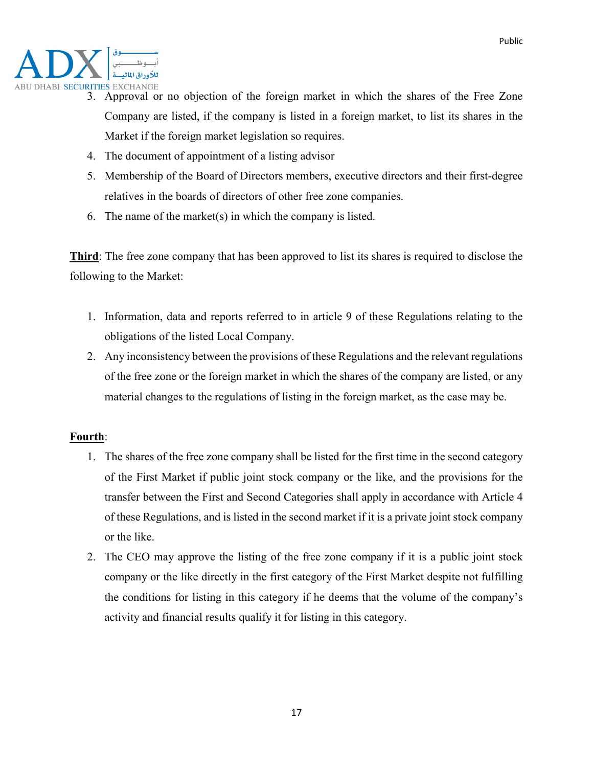

- 3. Approval or no objection of the foreign market in which the shares of the Free Zone Company are listed, if the company is listed in a foreign market, to list its shares in the Market if the foreign market legislation so requires.
- 4. The document of appointment of a listing advisor
- 5. Membership of the Board of Directors members, executive directors and their first-degree relatives in the boards of directors of other free zone companies.
- 6. The name of the market(s) in which the company is listed.

**Third**: The free zone company that has been approved to list its shares is required to disclose the following to the Market:

- 1. Information, data and reports referred to in article 9 of these Regulations relating to the obligations of the listed Local Company.
- 2. Any inconsistency between the provisions of these Regulations and the relevant regulations of the free zone or the foreign market in which the shares of the company are listed, or any material changes to the regulations of listing in the foreign market, as the case may be.

### **Fourth**:

- 1. The shares of the free zone company shall be listed for the first time in the second category of the First Market if public joint stock company or the like, and the provisions for the transfer between the First and Second Categories shall apply in accordance with Article 4 of these Regulations, and is listed in the second market if it is a private joint stock company or the like.
- 2. The CEO may approve the listing of the free zone company if it is a public joint stock company or the like directly in the first category of the First Market despite not fulfilling the conditions for listing in this category if he deems that the volume of the company's activity and financial results qualify it for listing in this category.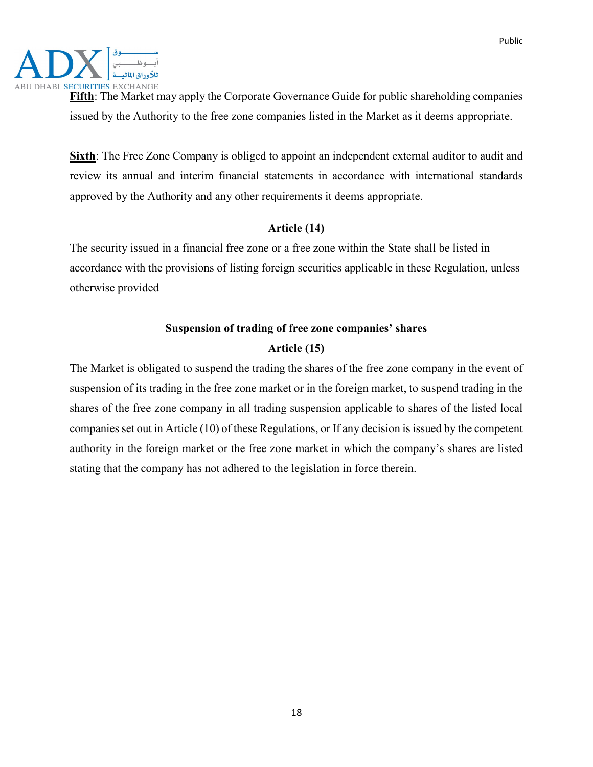Public



**Fifth**: The Market may apply the Corporate Governance Guide for public shareholding companies issued by the Authority to the free zone companies listed in the Market as it deems appropriate.

**Sixth**: The Free Zone Company is obliged to appoint an independent external auditor to audit and review its annual and interim financial statements in accordance with international standards approved by the Authority and any other requirements it deems appropriate.

### **Article (14)**

The security issued in a financial free zone or a free zone within the State shall be listed in accordance with the provisions of listing foreign securities applicable in these Regulation, unless otherwise provided

# **Suspension of trading of free zone companies' shares Article (15)**

The Market is obligated to suspend the trading the shares of the free zone company in the event of suspension of its trading in the free zone market or in the foreign market, to suspend trading in the shares of the free zone company in all trading suspension applicable to shares of the listed local companies set out in Article (10) of these Regulations, or If any decision is issued by the competent authority in the foreign market or the free zone market in which the company's shares are listed stating that the company has not adhered to the legislation in force therein.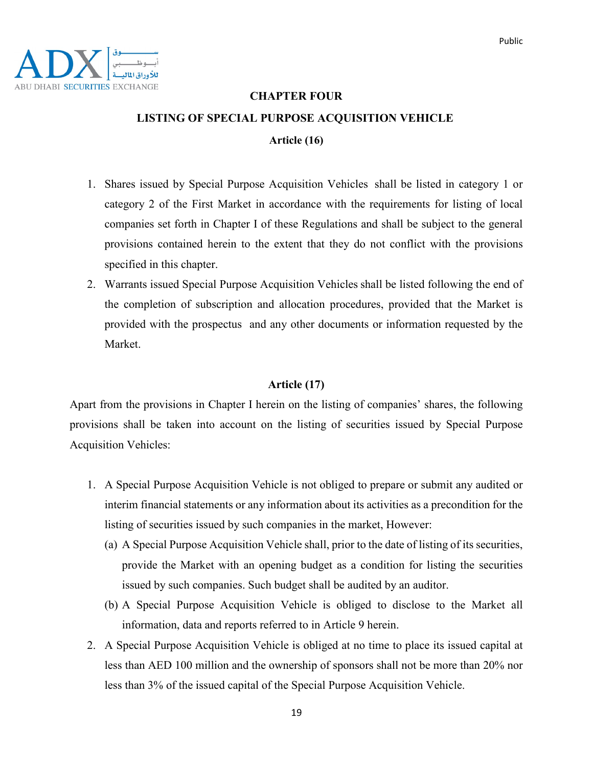### **CHAPTER FOUR**

#### **LISTING OF SPECIAL PURPOSE ACQUISITION VEHICLE**

**Article (16)**

- 1. Shares issued by Special Purpose Acquisition Vehicles shall be listed in category 1 or category 2 of the First Market in accordance with the requirements for listing of local companies set forth in Chapter I of these Regulations and shall be subject to the general provisions contained herein to the extent that they do not conflict with the provisions specified in this chapter.
- 2. Warrants issued Special Purpose Acquisition Vehicles shall be listed following the end of the completion of subscription and allocation procedures, provided that the Market is provided with the prospectus and any other documents or information requested by the Market.

#### **Article (17)**

Apart from the provisions in Chapter I herein on the listing of companies' shares, the following provisions shall be taken into account on the listing of securities issued by Special Purpose Acquisition Vehicles:

- 1. A Special Purpose Acquisition Vehicle is not obliged to prepare or submit any audited or interim financial statements or any information about its activities as a precondition for the listing of securities issued by such companies in the market, However:
	- (a) A Special Purpose Acquisition Vehicle shall, prior to the date of listing of its securities, provide the Market with an opening budget as a condition for listing the securities issued by such companies. Such budget shall be audited by an auditor.
	- (b) A Special Purpose Acquisition Vehicle is obliged to disclose to the Market all information, data and reports referred to in Article 9 herein.
- 2. A Special Purpose Acquisition Vehicle is obliged at no time to place its issued capital at less than AED 100 million and the ownership of sponsors shall not be more than 20% nor less than 3% of the issued capital of the Special Purpose Acquisition Vehicle.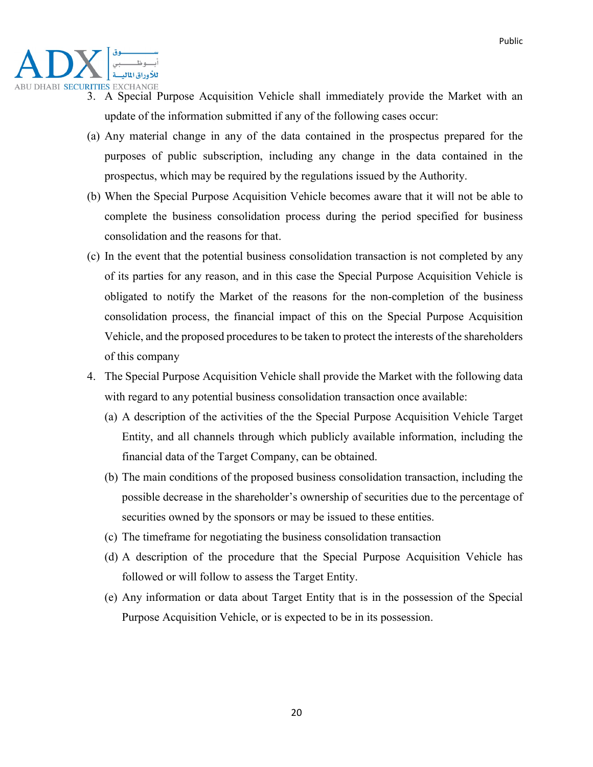

- 3. A Special Purpose Acquisition Vehicle shall immediately provide the Market with an update of the information submitted if any of the following cases occur:
- (a) Any material change in any of the data contained in the prospectus prepared for the purposes of public subscription, including any change in the data contained in the prospectus, which may be required by the regulations issued by the Authority.
- (b) When the Special Purpose Acquisition Vehicle becomes aware that it will not be able to complete the business consolidation process during the period specified for business consolidation and the reasons for that.
- (c) In the event that the potential business consolidation transaction is not completed by any of its parties for any reason, and in this case the Special Purpose Acquisition Vehicle is obligated to notify the Market of the reasons for the non-completion of the business consolidation process, the financial impact of this on the Special Purpose Acquisition Vehicle, and the proposed procedures to be taken to protect the interests of the shareholders of this company
- 4. The Special Purpose Acquisition Vehicle shall provide the Market with the following data with regard to any potential business consolidation transaction once available:
	- (a) A description of the activities of the the Special Purpose Acquisition Vehicle Target Entity, and all channels through which publicly available information, including the financial data of the Target Company, can be obtained.
	- (b) The main conditions of the proposed business consolidation transaction, including the possible decrease in the shareholder's ownership of securities due to the percentage of securities owned by the sponsors or may be issued to these entities.
	- (c) The timeframe for negotiating the business consolidation transaction
	- (d) A description of the procedure that the Special Purpose Acquisition Vehicle has followed or will follow to assess the Target Entity.
	- (e) Any information or data about Target Entity that is in the possession of the Special Purpose Acquisition Vehicle, or is expected to be in its possession.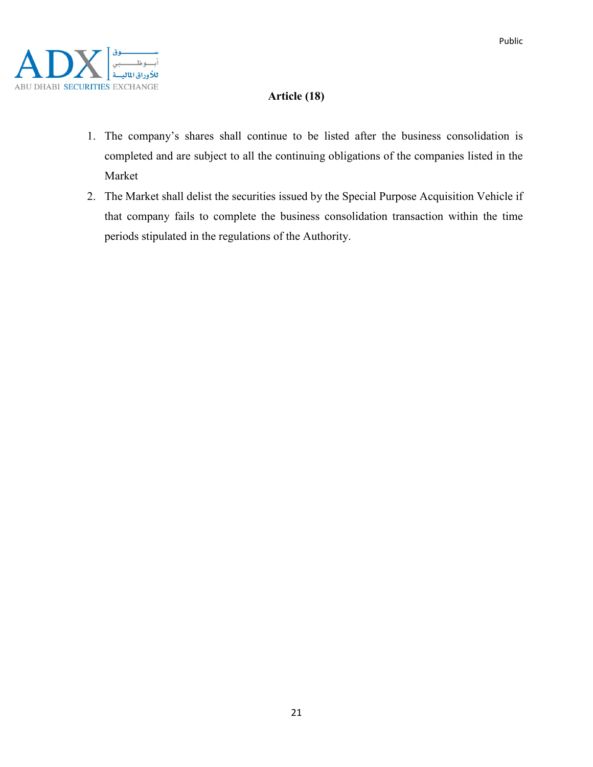

### **Article (18)**

- 1. The company's shares shall continue to be listed after the business consolidation is completed and are subject to all the continuing obligations of the companies listed in the Market
- 2. The Market shall delist the securities issued by the Special Purpose Acquisition Vehicle if that company fails to complete the business consolidation transaction within the time periods stipulated in the regulations of the Authority.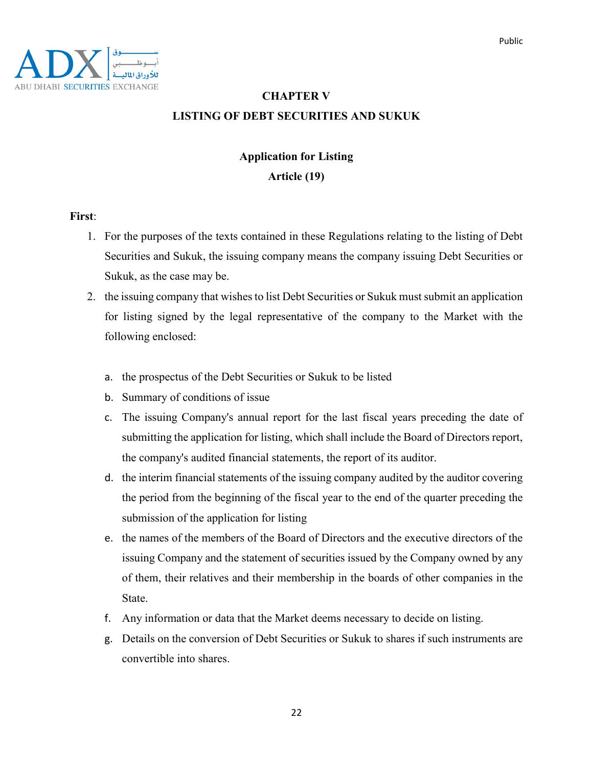### **CHAPTER V LISTING OF DEBT SECURITIES AND SUKUK**

# **Application for Listing**

### **Article (19)**

### **First**:

- 1. For the purposes of the texts contained in these Regulations relating to the listing of Debt Securities and Sukuk, the issuing company means the company issuing Debt Securities or Sukuk, as the case may be.
- 2. the issuing company that wishes to list Debt Securities or Sukuk must submit an application for listing signed by the legal representative of the company to the Market with the following enclosed:
	- a. the prospectus of the Debt Securities or Sukuk to be listed
	- b. Summary of conditions of issue
	- c. The issuing Company's annual report for the last fiscal years preceding the date of submitting the application for listing, which shall include the Board of Directors report, the company's audited financial statements, the report of its auditor.
	- d. the interim financial statements of the issuing company audited by the auditor covering the period from the beginning of the fiscal year to the end of the quarter preceding the submission of the application for listing
	- e. the names of the members of the Board of Directors and the executive directors of the issuing Company and the statement of securities issued by the Company owned by any of them, their relatives and their membership in the boards of other companies in the State.
	- f. Any information or data that the Market deems necessary to decide on listing.
	- g. Details on the conversion of Debt Securities or Sukuk to shares if such instruments are convertible into shares.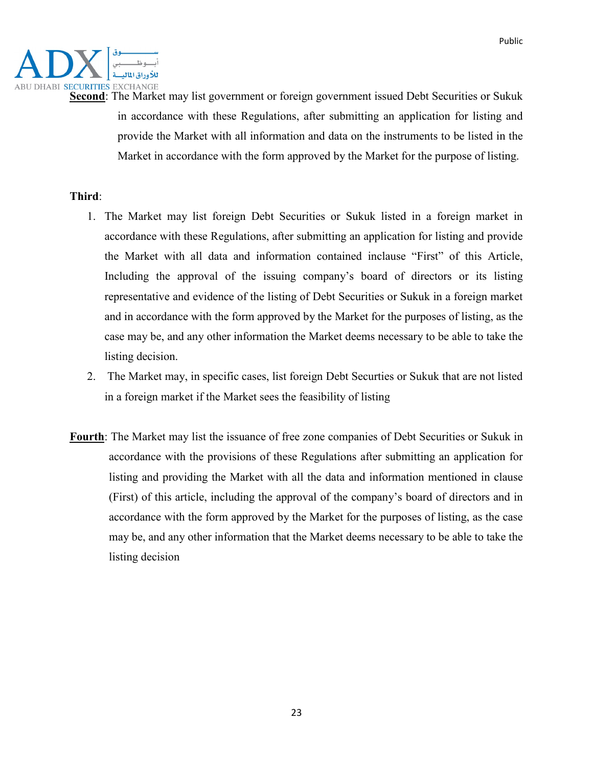

**Second**: The Market may list government or foreign government issued Debt Securities or Sukuk in accordance with these Regulations, after submitting an application for listing and provide the Market with all information and data on the instruments to be listed in the Market in accordance with the form approved by the Market for the purpose of listing.

### **Third**:

- 1. The Market may list foreign Debt Securities or Sukuk listed in a foreign market in accordance with these Regulations, after submitting an application for listing and provide the Market with all data and information contained inclause "First" of this Article, Including the approval of the issuing company's board of directors or its listing representative and evidence of the listing of Debt Securities or Sukuk in a foreign market and in accordance with the form approved by the Market for the purposes of listing, as the case may be, and any other information the Market deems necessary to be able to take the listing decision.
- 2. The Market may, in specific cases, list foreign Debt Securties or Sukuk that are not listed in a foreign market if the Market sees the feasibility of listing
- **Fourth**: The Market may list the issuance of free zone companies of Debt Securities or Sukuk in accordance with the provisions of these Regulations after submitting an application for listing and providing the Market with all the data and information mentioned in clause (First) of this article, including the approval of the company's board of directors and in accordance with the form approved by the Market for the purposes of listing, as the case may be, and any other information that the Market deems necessary to be able to take the listing decision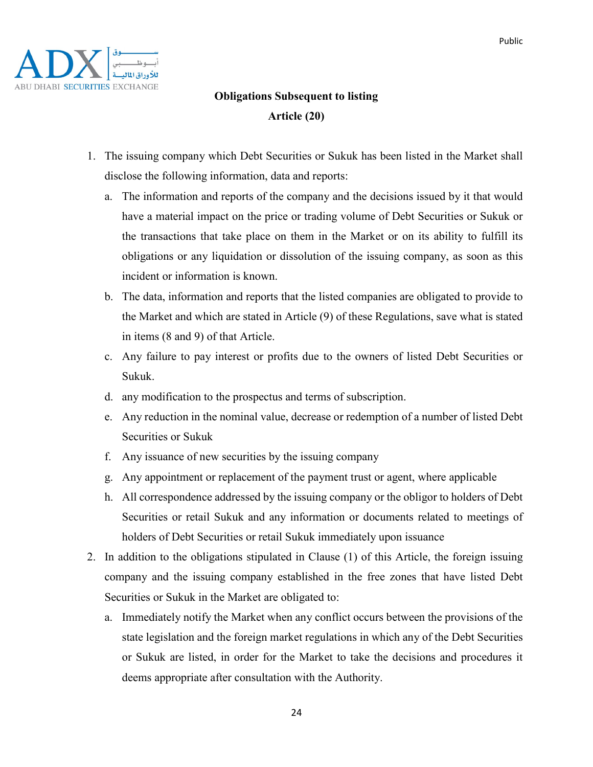

# **Obligations Subsequent to listing Article (20)**

- 1. The issuing company which Debt Securities or Sukuk has been listed in the Market shall disclose the following information, data and reports:
	- a. The information and reports of the company and the decisions issued by it that would have a material impact on the price or trading volume of Debt Securities or Sukuk or the transactions that take place on them in the Market or on its ability to fulfill its obligations or any liquidation or dissolution of the issuing company, as soon as this incident or information is known.
	- b. The data, information and reports that the listed companies are obligated to provide to the Market and which are stated in Article (9) of these Regulations, save what is stated in items (8 and 9) of that Article.
	- c. Any failure to pay interest or profits due to the owners of listed Debt Securities or Sukuk.
	- d. any modification to the prospectus and terms of subscription.
	- e. Any reduction in the nominal value, decrease or redemption of a number of listed Debt Securities or Sukuk
	- f. Any issuance of new securities by the issuing company
	- g. Any appointment or replacement of the payment trust or agent, where applicable
	- h. All correspondence addressed by the issuing company or the obligor to holders of Debt Securities or retail Sukuk and any information or documents related to meetings of holders of Debt Securities or retail Sukuk immediately upon issuance
- 2. In addition to the obligations stipulated in Clause (1) of this Article, the foreign issuing company and the issuing company established in the free zones that have listed Debt Securities or Sukuk in the Market are obligated to:
	- a. Immediately notify the Market when any conflict occurs between the provisions of the state legislation and the foreign market regulations in which any of the Debt Securities or Sukuk are listed, in order for the Market to take the decisions and procedures it deems appropriate after consultation with the Authority.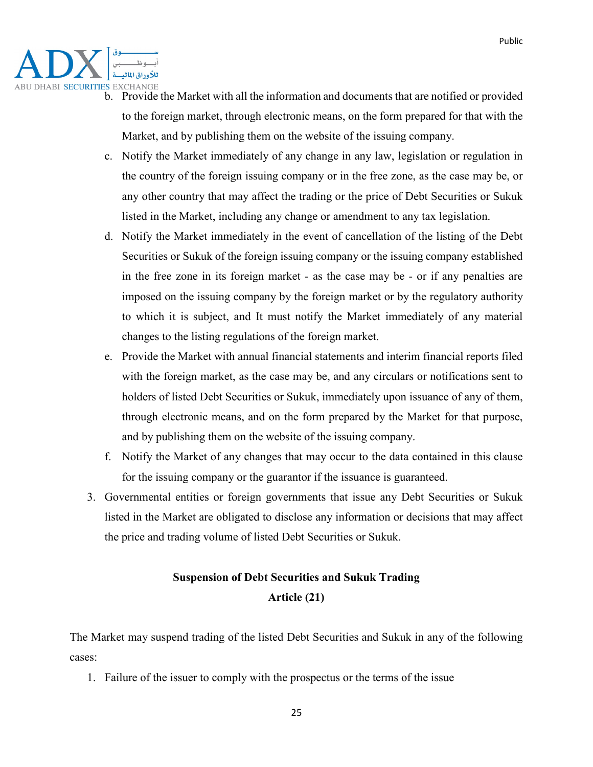

- b. Provide the Market with all the information and documents that are notified or provided to the foreign market, through electronic means, on the form prepared for that with the Market, and by publishing them on the website of the issuing company.
- c. Notify the Market immediately of any change in any law, legislation or regulation in the country of the foreign issuing company or in the free zone, as the case may be, or any other country that may affect the trading or the price of Debt Securities or Sukuk listed in the Market, including any change or amendment to any tax legislation.
- d. Notify the Market immediately in the event of cancellation of the listing of the Debt Securities or Sukuk of the foreign issuing company or the issuing company established in the free zone in its foreign market - as the case may be - or if any penalties are imposed on the issuing company by the foreign market or by the regulatory authority to which it is subject, and It must notify the Market immediately of any material changes to the listing regulations of the foreign market.
- e. Provide the Market with annual financial statements and interim financial reports filed with the foreign market, as the case may be, and any circulars or notifications sent to holders of listed Debt Securities or Sukuk, immediately upon issuance of any of them, through electronic means, and on the form prepared by the Market for that purpose, and by publishing them on the website of the issuing company.
- f. Notify the Market of any changes that may occur to the data contained in this clause for the issuing company or the guarantor if the issuance is guaranteed.
- 3. Governmental entities or foreign governments that issue any Debt Securities or Sukuk listed in the Market are obligated to disclose any information or decisions that may affect the price and trading volume of listed Debt Securities or Sukuk.

# **Suspension of Debt Securities and Sukuk Trading Article (21)**

The Market may suspend trading of the listed Debt Securities and Sukuk in any of the following cases:

1. Failure of the issuer to comply with the prospectus or the terms of the issue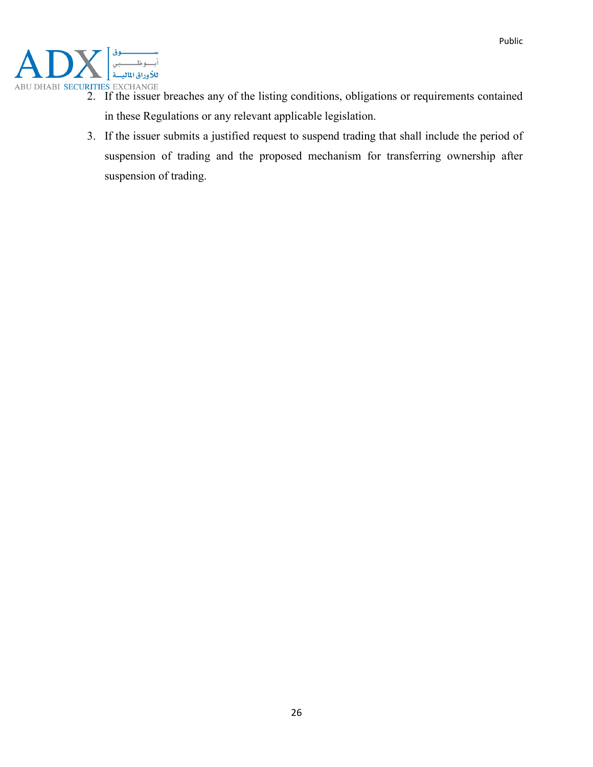

- 2. If the issuer breaches any of the listing conditions, obligations or requirements contained in these Regulations or any relevant applicable legislation.
- 3. If the issuer submits a justified request to suspend trading that shall include the period of suspension of trading and the proposed mechanism for transferring ownership after suspension of trading.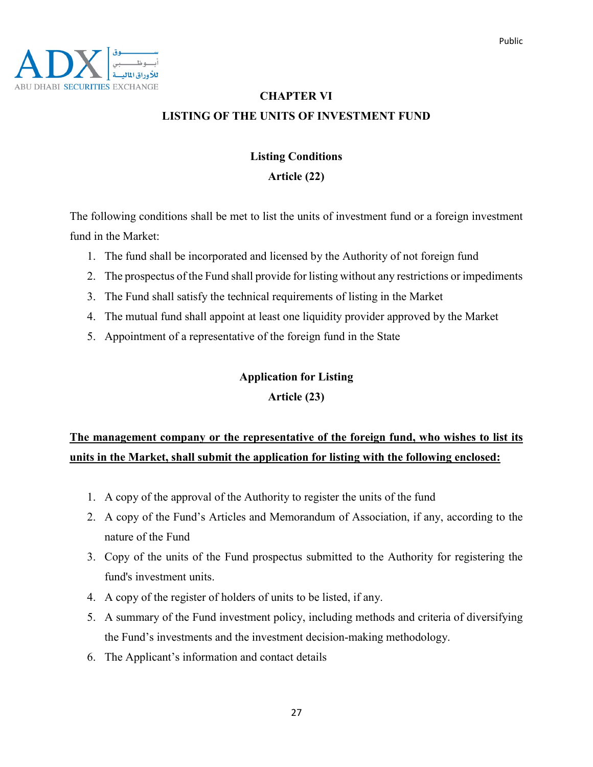

# **CHAPTER VI LISTING OF THE UNITS OF INVESTMENT FUND**

### **Listing Conditions**

### **Article (22)**

The following conditions shall be met to list the units of investment fund or a foreign investment fund in the Market:

- 1. The fund shall be incorporated and licensed by the Authority of not foreign fund
- 2. The prospectus of the Fund shall provide for listing without any restrictions or impediments
- 3. The Fund shall satisfy the technical requirements of listing in the Market
- 4. The mutual fund shall appoint at least one liquidity provider approved by the Market
- 5. Appointment of a representative of the foreign fund in the State

### **Application for Listing**

### **Article (23)**

# **The management company or the representative of the foreign fund, who wishes to list its units in the Market, shall submit the application for listing with the following enclosed:**

- 1. A copy of the approval of the Authority to register the units of the fund
- 2. A copy of the Fund's Articles and Memorandum of Association, if any, according to the nature of the Fund
- 3. Copy of the units of the Fund prospectus submitted to the Authority for registering the fund's investment units.
- 4. A copy of the register of holders of units to be listed, if any.
- 5. A summary of the Fund investment policy, including methods and criteria of diversifying the Fund's investments and the investment decision-making methodology.
- 6. The Applicant's information and contact details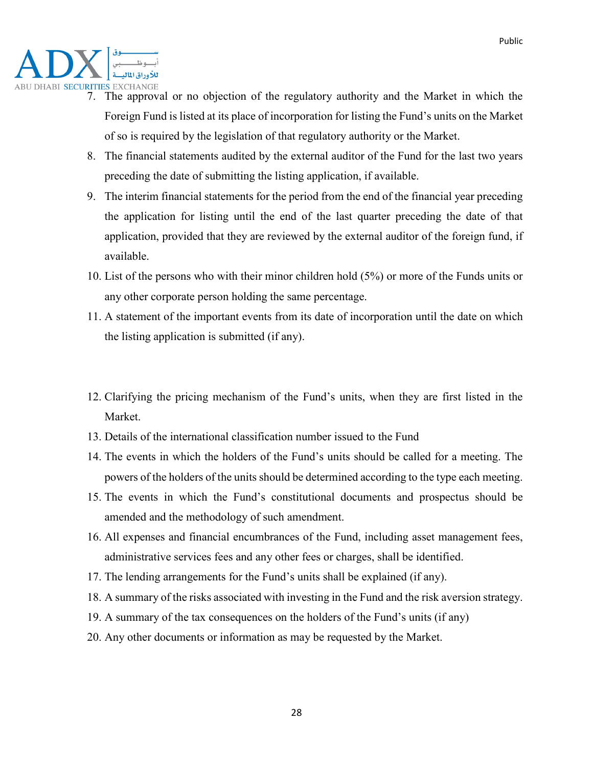

- 7. The approval or no objection of the regulatory authority and the Market in which the Foreign Fund is listed at its place of incorporation for listing the Fund's units on the Market of so is required by the legislation of that regulatory authority or the Market.
- 8. The financial statements audited by the external auditor of the Fund for the last two years preceding the date of submitting the listing application, if available.
- 9. The interim financial statements for the period from the end of the financial year preceding the application for listing until the end of the last quarter preceding the date of that application, provided that they are reviewed by the external auditor of the foreign fund, if available.
- 10. List of the persons who with their minor children hold (5%) or more of the Funds units or any other corporate person holding the same percentage.
- 11. A statement of the important events from its date of incorporation until the date on which the listing application is submitted (if any).
- 12. Clarifying the pricing mechanism of the Fund's units, when they are first listed in the Market.
- 13. Details of the international classification number issued to the Fund
- 14. The events in which the holders of the Fund's units should be called for a meeting. The powers of the holders of the units should be determined according to the type each meeting.
- 15. The events in which the Fund's constitutional documents and prospectus should be amended and the methodology of such amendment.
- 16. All expenses and financial encumbrances of the Fund, including asset management fees, administrative services fees and any other fees or charges, shall be identified.
- 17. The lending arrangements for the Fund's units shall be explained (if any).
- 18. A summary of the risks associated with investing in the Fund and the risk aversion strategy.
- 19. A summary of the tax consequences on the holders of the Fund's units (if any)
- 20. Any other documents or information as may be requested by the Market.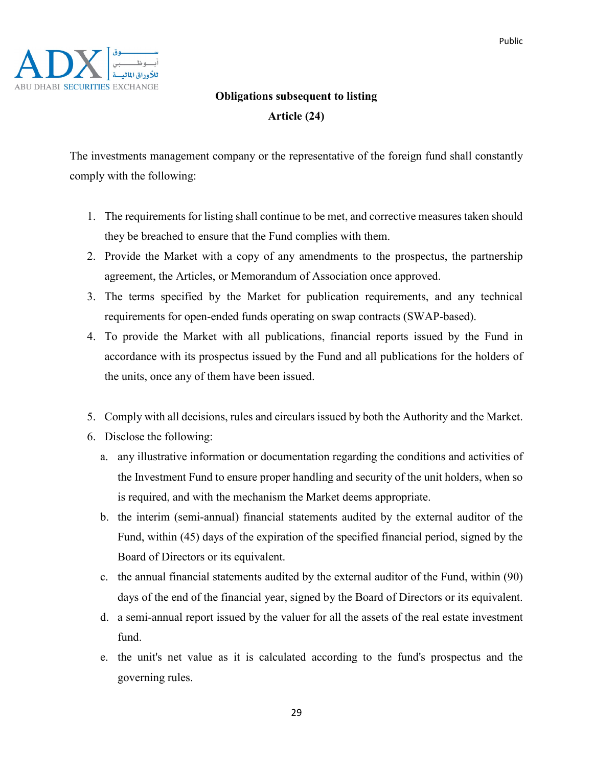

# **Obligations subsequent to listing Article (24)**

The investments management company or the representative of the foreign fund shall constantly comply with the following:

- 1. The requirements for listing shall continue to be met, and corrective measures taken should they be breached to ensure that the Fund complies with them.
- 2. Provide the Market with a copy of any amendments to the prospectus, the partnership agreement, the Articles, or Memorandum of Association once approved.
- 3. The terms specified by the Market for publication requirements, and any technical requirements for open-ended funds operating on swap contracts (SWAP-based).
- 4. To provide the Market with all publications, financial reports issued by the Fund in accordance with its prospectus issued by the Fund and all publications for the holders of the units, once any of them have been issued.
- 5. Comply with all decisions, rules and circulars issued by both the Authority and the Market.
- 6. Disclose the following:
	- a. any illustrative information or documentation regarding the conditions and activities of the Investment Fund to ensure proper handling and security of the unit holders, when so is required, and with the mechanism the Market deems appropriate.
	- b. the interim (semi-annual) financial statements audited by the external auditor of the Fund, within (45) days of the expiration of the specified financial period, signed by the Board of Directors or its equivalent.
	- c. the annual financial statements audited by the external auditor of the Fund, within (90) days of the end of the financial year, signed by the Board of Directors or its equivalent.
	- d. a semi-annual report issued by the valuer for all the assets of the real estate investment fund.
	- e. the unit's net value as it is calculated according to the fund's prospectus and the governing rules.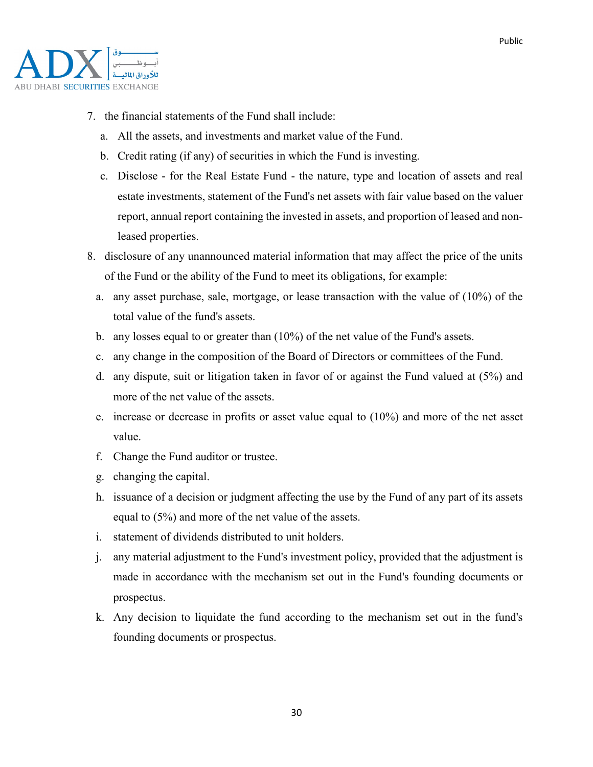

- 7. the financial statements of the Fund shall include:
	- a. All the assets, and investments and market value of the Fund.
	- b. Credit rating (if any) of securities in which the Fund is investing.
	- c. Disclose for the Real Estate Fund the nature, type and location of assets and real estate investments, statement of the Fund's net assets with fair value based on the valuer report, annual report containing the invested in assets, and proportion of leased and nonleased properties.
- 8. disclosure of any unannounced material information that may affect the price of the units of the Fund or the ability of the Fund to meet its obligations, for example:
	- a. any asset purchase, sale, mortgage, or lease transaction with the value of (10%) of the total value of the fund's assets.
	- b. any losses equal to or greater than (10%) of the net value of the Fund's assets.
	- c. any change in the composition of the Board of Directors or committees of the Fund.
	- d. any dispute, suit or litigation taken in favor of or against the Fund valued at (5%) and more of the net value of the assets.
	- e. increase or decrease in profits or asset value equal to (10%) and more of the net asset value.
	- f. Change the Fund auditor or trustee.
	- g. changing the capital.
	- h. issuance of a decision or judgment affecting the use by the Fund of any part of its assets equal to (5%) and more of the net value of the assets.
	- i. statement of dividends distributed to unit holders.
	- j. any material adjustment to the Fund's investment policy, provided that the adjustment is made in accordance with the mechanism set out in the Fund's founding documents or prospectus.
	- k. Any decision to liquidate the fund according to the mechanism set out in the fund's founding documents or prospectus.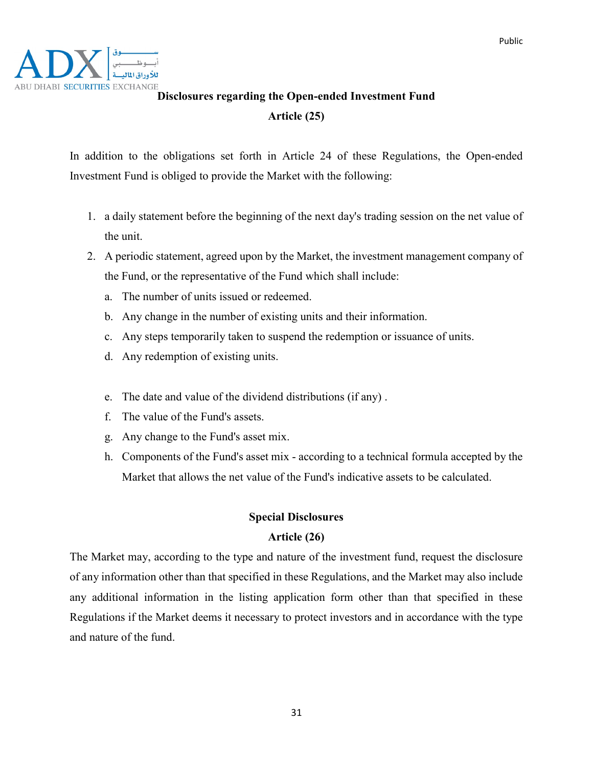

# ABU DHABI SECURITIES EXCHANGE<br>**Disclosures regarding the Open-ended Investment Fund Article (25)**

In addition to the obligations set forth in Article 24 of these Regulations, the Open-ended Investment Fund is obliged to provide the Market with the following:

- 1. a daily statement before the beginning of the next day's trading session on the net value of the unit.
- 2. A periodic statement, agreed upon by the Market, the investment management company of the Fund, or the representative of the Fund which shall include:
	- a. The number of units issued or redeemed.
	- b. Any change in the number of existing units and their information.
	- c. Any steps temporarily taken to suspend the redemption or issuance of units.
	- d. Any redemption of existing units.
	- e. The date and value of the dividend distributions (if any) .
	- f. The value of the Fund's assets.
	- g. Any change to the Fund's asset mix.
	- h. Components of the Fund's asset mix according to a technical formula accepted by the Market that allows the net value of the Fund's indicative assets to be calculated.

### **Special Disclosures**

### **Article (26)**

The Market may, according to the type and nature of the investment fund, request the disclosure of any information other than that specified in these Regulations, and the Market may also include any additional information in the listing application form other than that specified in these Regulations if the Market deems it necessary to protect investors and in accordance with the type and nature of the fund.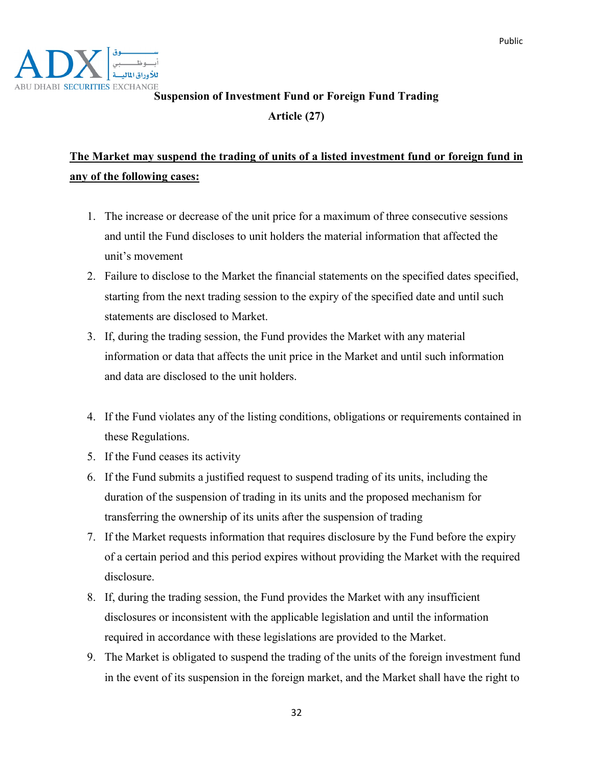

# **ABU DHABI SECURITIES EXCHANGE**<br>Suspension of Investment Fund or Foreign Fund Trading

**Article (27)**

# **The Market may suspend the trading of units of a listed investment fund or foreign fund in any of the following cases:**

- 1. The increase or decrease of the unit price for a maximum of three consecutive sessions and until the Fund discloses to unit holders the material information that affected the unit's movement
- 2. Failure to disclose to the Market the financial statements on the specified dates specified, starting from the next trading session to the expiry of the specified date and until such statements are disclosed to Market.
- 3. If, during the trading session, the Fund provides the Market with any material information or data that affects the unit price in the Market and until such information and data are disclosed to the unit holders.
- 4. If the Fund violates any of the listing conditions, obligations or requirements contained in these Regulations.
- 5. If the Fund ceases its activity
- 6. If the Fund submits a justified request to suspend trading of its units, including the duration of the suspension of trading in its units and the proposed mechanism for transferring the ownership of its units after the suspension of trading
- 7. If the Market requests information that requires disclosure by the Fund before the expiry of a certain period and this period expires without providing the Market with the required disclosure.
- 8. If, during the trading session, the Fund provides the Market with any insufficient disclosures or inconsistent with the applicable legislation and until the information required in accordance with these legislations are provided to the Market.
- 9. The Market is obligated to suspend the trading of the units of the foreign investment fund in the event of its suspension in the foreign market, and the Market shall have the right to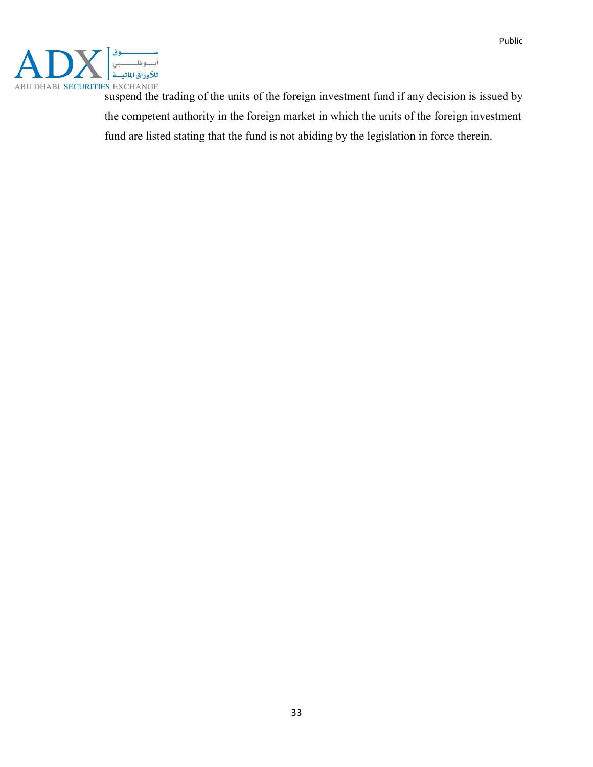

suspend the trading of the units of the foreign investment fund if any decision is issued by the competent authority in the foreign market in which the units of the foreign investment fund are listed stating that the fund is not abiding by the legislation in force therein.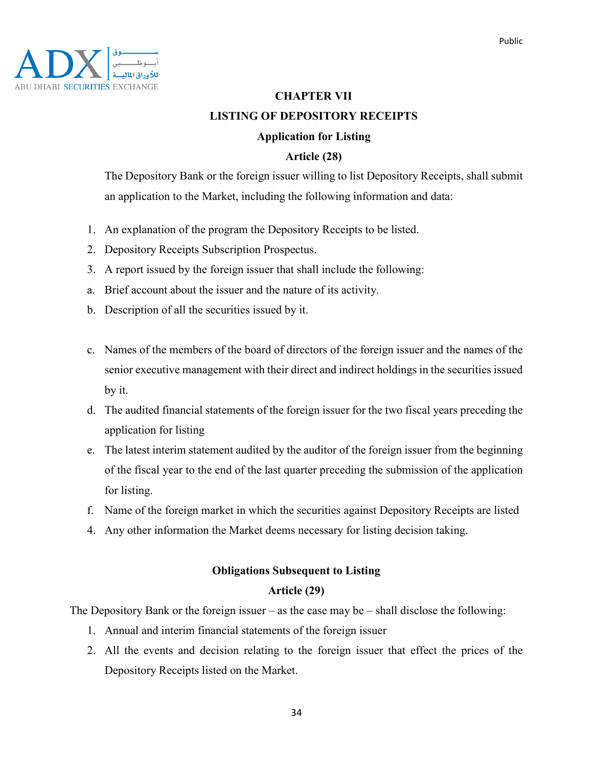

# **CHAPTER VII LISTING OF DEPOSITORY RECEIPTS**

### **Application for Listing**

### **Article (28)**

The Depository Bank or the foreign issuer willing to list Depository Receipts, shall submit an application to the Market, including the following information and data:

- 1. An explanation of the program the Depository Receipts to be listed.
- 2. Depository Receipts Subscription Prospectus.
- 3. A report issued by the foreign issuer that shall include the following:
- a. Brief account about the issuer and the nature of its activity.
- b. Description of all the securities issued by it.
- c. Names of the members of the board of directors of the foreign issuer and the names of the senior executive management with their direct and indirect holdings in the securities issued by it.
- d. The audited financial statements of the foreign issuer for the two fiscal years preceding the application for listing
- e. The latest interim statement audited by the auditor of the foreign issuer from the beginning of the fiscal year to the end of the last quarter preceding the submission of the application for listing.
- f. Name of the foreign market in which the securities against Depository Receipts are listed
- 4. Any other information the Market deems necessary for listing decision taking.

# **Obligations Subsequent to Listing**

### **Article (29)**

The Depository Bank or the foreign issuer – as the case may be – shall disclose the following:

- 1. Annual and interim financial statements of the foreign issuer
- 2. All the events and decision relating to the foreign issuer that effect the prices of the Depository Receipts listed on the Market.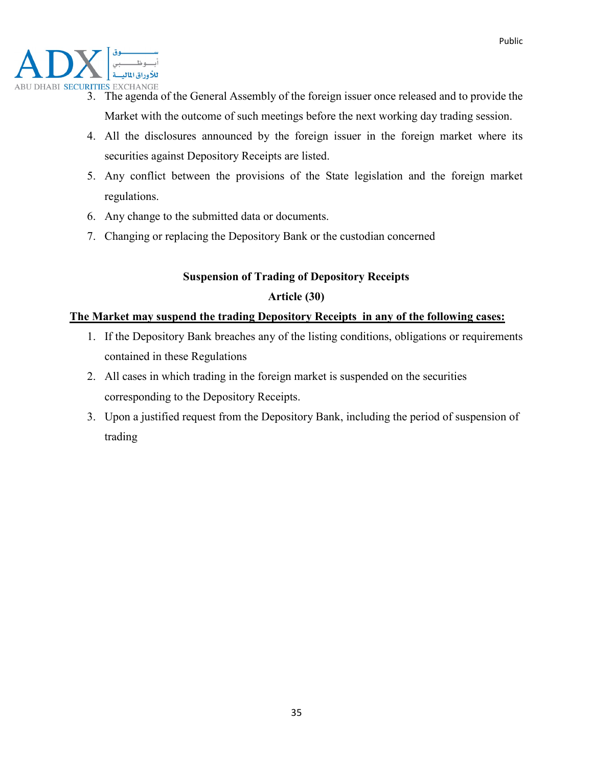

- 3. The agenda of the General Assembly of the foreign issuer once released and to provide the Market with the outcome of such meetings before the next working day trading session.
- 4. All the disclosures announced by the foreign issuer in the foreign market where its securities against Depository Receipts are listed.
- 5. Any conflict between the provisions of the State legislation and the foreign market regulations.
- 6. Any change to the submitted data or documents.
- 7. Changing or replacing the Depository Bank or the custodian concerned

# **Suspension of Trading of Depository Receipts**

### **Article (30)**

### **The Market may suspend the trading Depository Receipts in any of the following cases:**

- 1. If the Depository Bank breaches any of the listing conditions, obligations or requirements contained in these Regulations
- 2. All cases in which trading in the foreign market is suspended on the securities corresponding to the Depository Receipts.
- 3. Upon a justified request from the Depository Bank, including the period of suspension of trading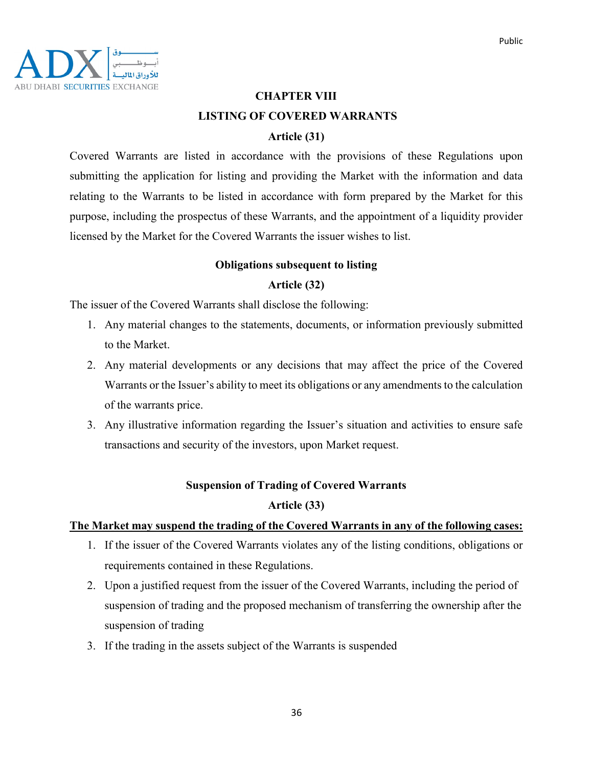

### **CHAPTER VIII LISTING OF COVERED WARRANTS**

### **Article (31)**

Covered Warrants are listed in accordance with the provisions of these Regulations upon submitting the application for listing and providing the Market with the information and data relating to the Warrants to be listed in accordance with form prepared by the Market for this purpose, including the prospectus of these Warrants, and the appointment of a liquidity provider licensed by the Market for the Covered Warrants the issuer wishes to list.

### **Obligations subsequent to listing**

### **Article (32)**

The issuer of the Covered Warrants shall disclose the following:

- 1. Any material changes to the statements, documents, or information previously submitted to the Market.
- 2. Any material developments or any decisions that may affect the price of the Covered Warrants or the Issuer's ability to meet its obligations or any amendments to the calculation of the warrants price.
- 3. Any illustrative information regarding the Issuer's situation and activities to ensure safe transactions and security of the investors, upon Market request.

### **Suspension of Trading of Covered Warrants**

### **Article (33)**

### **The Market may suspend the trading of the Covered Warrants in any of the following cases:**

- 1. If the issuer of the Covered Warrants violates any of the listing conditions, obligations or requirements contained in these Regulations.
- 2. Upon a justified request from the issuer of the Covered Warrants, including the period of suspension of trading and the proposed mechanism of transferring the ownership after the suspension of trading
- 3. If the trading in the assets subject of the Warrants is suspended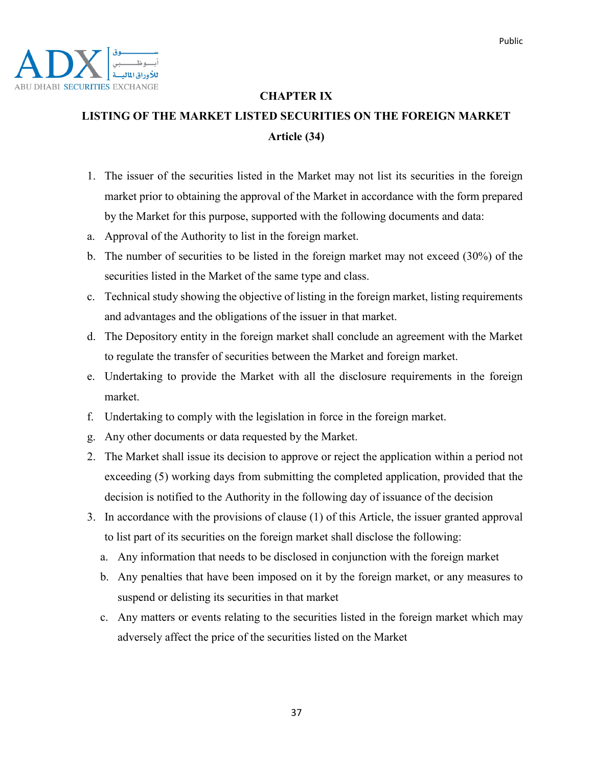

### **CHAPTER IX**

# **LISTING OF THE MARKET LISTED SECURITIES ON THE FOREIGN MARKET Article (34)**

- 1. The issuer of the securities listed in the Market may not list its securities in the foreign market prior to obtaining the approval of the Market in accordance with the form prepared by the Market for this purpose, supported with the following documents and data:
- a. Approval of the Authority to list in the foreign market.
- b. The number of securities to be listed in the foreign market may not exceed (30%) of the securities listed in the Market of the same type and class.
- c. Technical study showing the objective of listing in the foreign market, listing requirements and advantages and the obligations of the issuer in that market.
- d. The Depository entity in the foreign market shall conclude an agreement with the Market to regulate the transfer of securities between the Market and foreign market.
- e. Undertaking to provide the Market with all the disclosure requirements in the foreign market.
- f. Undertaking to comply with the legislation in force in the foreign market.
- g. Any other documents or data requested by the Market.
- 2. The Market shall issue its decision to approve or reject the application within a period not exceeding (5) working days from submitting the completed application, provided that the decision is notified to the Authority in the following day of issuance of the decision
- 3. In accordance with the provisions of clause (1) of this Article, the issuer granted approval to list part of its securities on the foreign market shall disclose the following:
	- a. Any information that needs to be disclosed in conjunction with the foreign market
	- b. Any penalties that have been imposed on it by the foreign market, or any measures to suspend or delisting its securities in that market
	- c. Any matters or events relating to the securities listed in the foreign market which may adversely affect the price of the securities listed on the Market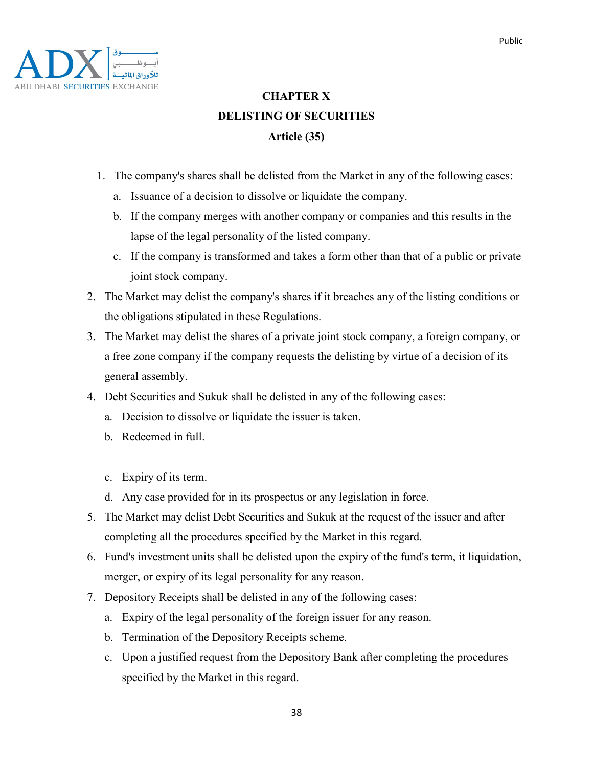

# **CHAPTER X DELISTING OF SECURITIES Article (35)**

- 1. The company's shares shall be delisted from the Market in any of the following cases:
	- a. Issuance of a decision to dissolve or liquidate the company.
	- b. If the company merges with another company or companies and this results in the lapse of the legal personality of the listed company.
	- c. If the company is transformed and takes a form other than that of a public or private joint stock company.
- 2. The Market may delist the company's shares if it breaches any of the listing conditions or the obligations stipulated in these Regulations.
- 3. The Market may delist the shares of a private joint stock company, a foreign company, or a free zone company if the company requests the delisting by virtue of a decision of its general assembly.
- 4. Debt Securities and Sukuk shall be delisted in any of the following cases:
	- a. Decision to dissolve or liquidate the issuer is taken.
	- b. Redeemed in full.
	- c. Expiry of its term.
	- d. Any case provided for in its prospectus or any legislation in force.
- 5. The Market may delist Debt Securities and Sukuk at the request of the issuer and after completing all the procedures specified by the Market in this regard.
- 6. Fund's investment units shall be delisted upon the expiry of the fund's term, it liquidation, merger, or expiry of its legal personality for any reason.
- 7. Depository Receipts shall be delisted in any of the following cases:
	- a. Expiry of the legal personality of the foreign issuer for any reason.
	- b. Termination of the Depository Receipts scheme.
	- c. Upon a justified request from the Depository Bank after completing the procedures specified by the Market in this regard.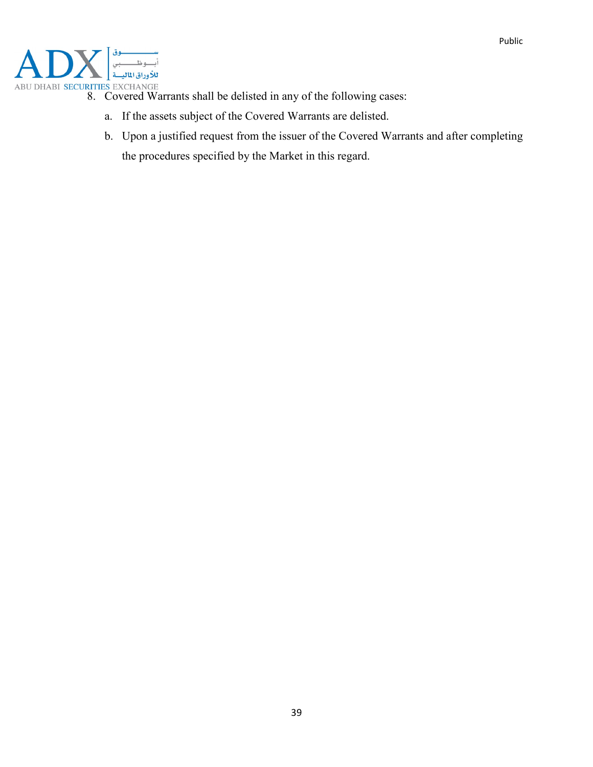

- ABU DHABI SECURITIES EXCHANGE<br>8. Covered Warrants shall be delisted in any of the following cases:
	- a. If the assets subject of the Covered Warrants are delisted.
	- b. Upon a justified request from the issuer of the Covered Warrants and after completing the procedures specified by the Market in this regard.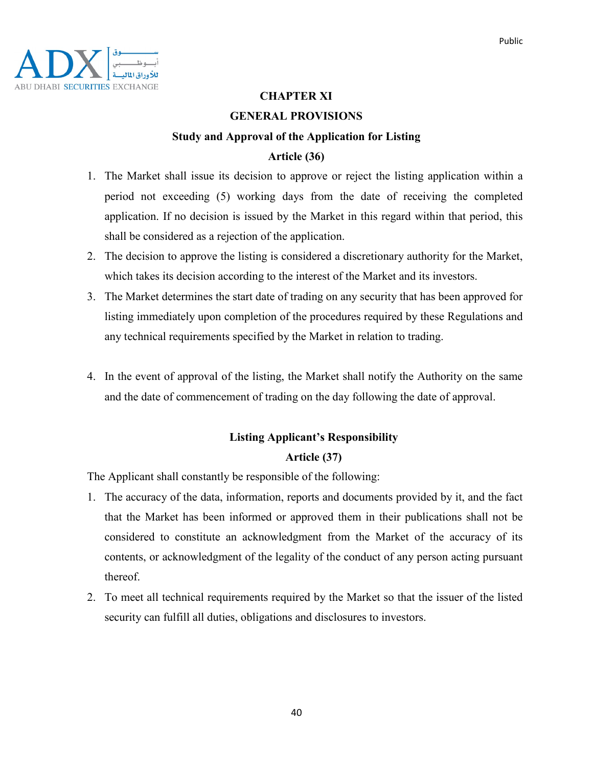

### **CHAPTER XI**

### **GENERAL PROVISIONS**

# **Study and Approval of the Application for Listing**

### **Article (36)**

- 1. The Market shall issue its decision to approve or reject the listing application within a period not exceeding (5) working days from the date of receiving the completed application. If no decision is issued by the Market in this regard within that period, this shall be considered as a rejection of the application.
- 2. The decision to approve the listing is considered a discretionary authority for the Market, which takes its decision according to the interest of the Market and its investors.
- 3. The Market determines the start date of trading on any security that has been approved for listing immediately upon completion of the procedures required by these Regulations and any technical requirements specified by the Market in relation to trading.
- 4. In the event of approval of the listing, the Market shall notify the Authority on the same and the date of commencement of trading on the day following the date of approval.

### **Listing Applicant's Responsibility Article (37)**

The Applicant shall constantly be responsible of the following:

- 1. The accuracy of the data, information, reports and documents provided by it, and the fact that the Market has been informed or approved them in their publications shall not be considered to constitute an acknowledgment from the Market of the accuracy of its contents, or acknowledgment of the legality of the conduct of any person acting pursuant thereof.
- 2. To meet all technical requirements required by the Market so that the issuer of the listed security can fulfill all duties, obligations and disclosures to investors.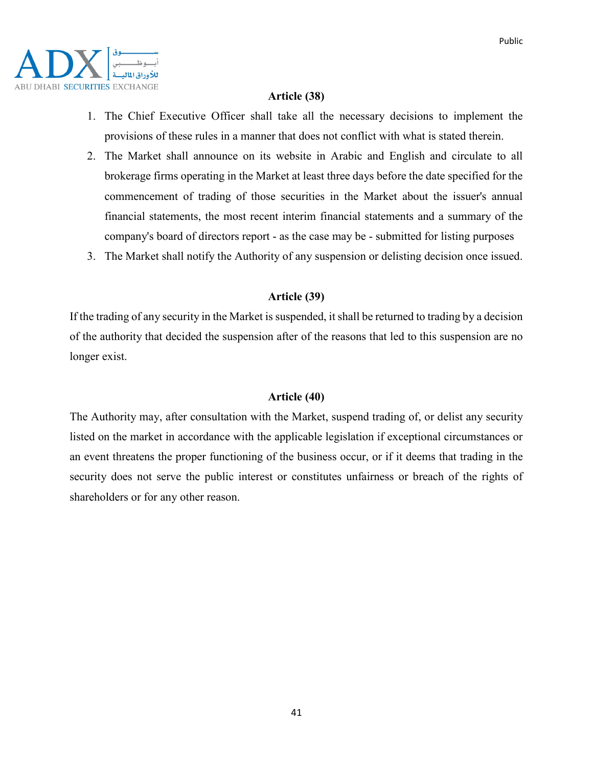

### **Article (38)**

- 1. The Chief Executive Officer shall take all the necessary decisions to implement the provisions of these rules in a manner that does not conflict with what is stated therein.
- 2. The Market shall announce on its website in Arabic and English and circulate to all brokerage firms operating in the Market at least three days before the date specified for the commencement of trading of those securities in the Market about the issuer's annual financial statements, the most recent interim financial statements and a summary of the company's board of directors report - as the case may be - submitted for listing purposes
- 3. The Market shall notify the Authority of any suspension or delisting decision once issued.

#### **Article (39)**

If the trading of any security in the Market is suspended, it shall be returned to trading by a decision of the authority that decided the suspension after of the reasons that led to this suspension are no longer exist.

#### **Article (40)**

The Authority may, after consultation with the Market, suspend trading of, or delist any security listed on the market in accordance with the applicable legislation if exceptional circumstances or an event threatens the proper functioning of the business occur, or if it deems that trading in the security does not serve the public interest or constitutes unfairness or breach of the rights of shareholders or for any other reason.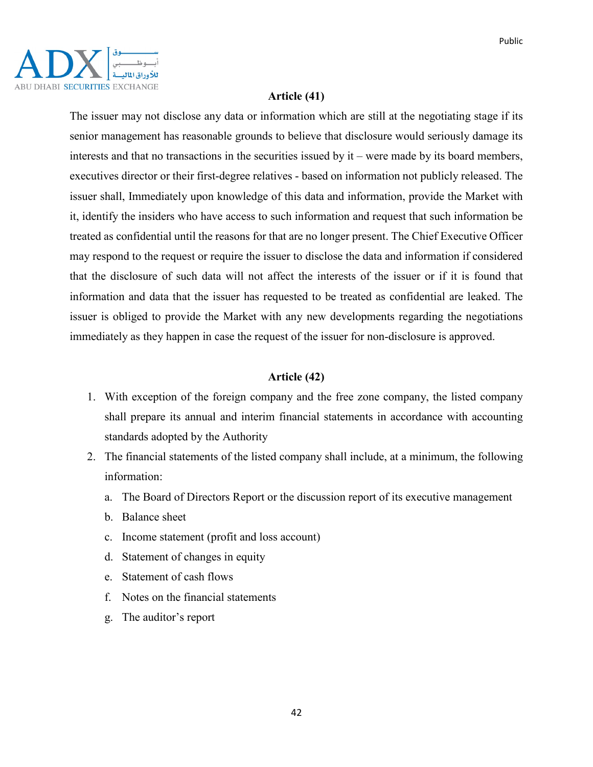

### **Article (41)**

The issuer may not disclose any data or information which are still at the negotiating stage if its senior management has reasonable grounds to believe that disclosure would seriously damage its interests and that no transactions in the securities issued by  $it$  – were made by its board members, executives director or their first-degree relatives - based on information not publicly released. The issuer shall, Immediately upon knowledge of this data and information, provide the Market with it, identify the insiders who have access to such information and request that such information be treated as confidential until the reasons for that are no longer present. The Chief Executive Officer may respond to the request or require the issuer to disclose the data and information if considered that the disclosure of such data will not affect the interests of the issuer or if it is found that information and data that the issuer has requested to be treated as confidential are leaked. The issuer is obliged to provide the Market with any new developments regarding the negotiations immediately as they happen in case the request of the issuer for non-disclosure is approved.

### **Article (42)**

- 1. With exception of the foreign company and the free zone company, the listed company shall prepare its annual and interim financial statements in accordance with accounting standards adopted by the Authority
- 2. The financial statements of the listed company shall include, at a minimum, the following information:
	- a. The Board of Directors Report or the discussion report of its executive management
	- b. Balance sheet
	- c. Income statement (profit and loss account)
	- d. Statement of changes in equity
	- e. Statement of cash flows
	- f. Notes on the financial statements
	- g. The auditor's report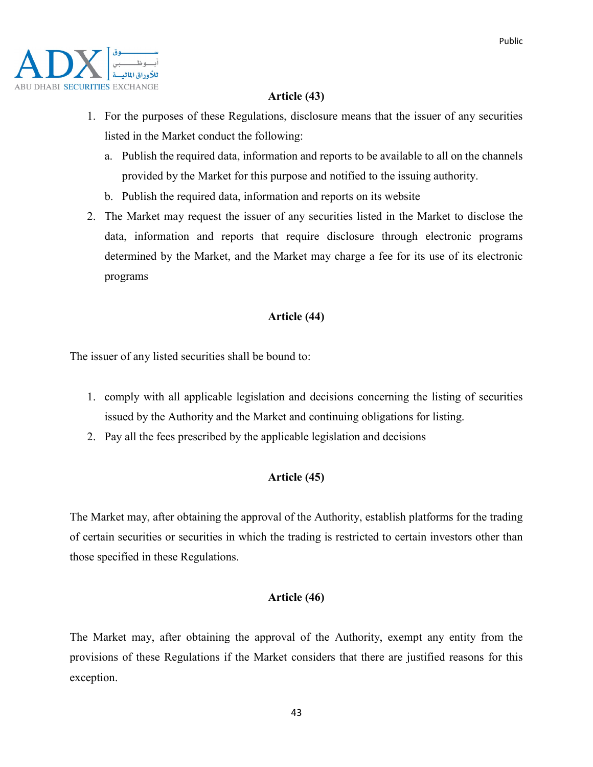

### **Article (43)**

- 1. For the purposes of these Regulations, disclosure means that the issuer of any securities listed in the Market conduct the following:
	- a. Publish the required data, information and reports to be available to all on the channels provided by the Market for this purpose and notified to the issuing authority.
	- b. Publish the required data, information and reports on its website
- 2. The Market may request the issuer of any securities listed in the Market to disclose the data, information and reports that require disclosure through electronic programs determined by the Market, and the Market may charge a fee for its use of its electronic programs

### **Article (44)**

The issuer of any listed securities shall be bound to:

- 1. comply with all applicable legislation and decisions concerning the listing of securities issued by the Authority and the Market and continuing obligations for listing.
- 2. Pay all the fees prescribed by the applicable legislation and decisions

### **Article (45)**

The Market may, after obtaining the approval of the Authority, establish platforms for the trading of certain securities or securities in which the trading is restricted to certain investors other than those specified in these Regulations.

### **Article (46)**

The Market may, after obtaining the approval of the Authority, exempt any entity from the provisions of these Regulations if the Market considers that there are justified reasons for this exception.